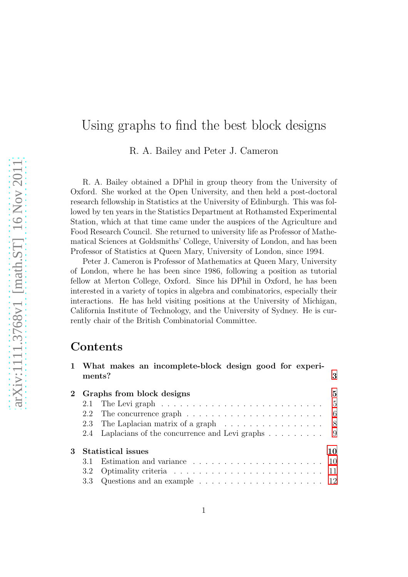# Using graphs to find the best block designs

R. A. Bailey and Peter J. Cameron

R. A. Bailey obtained a DPhil in group theory from the University of Oxford. She worked at the Open University, and then held a post-doctoral research fellowship in Statistics at the University of Edinburgh. This was followed by ten years in the Statistics Department at Rothamsted Experimental Station, which at that time came under the auspices of the Agriculture and Food Research Council. She returned to university life as Professor of Mathematical Sciences at Goldsmiths' College, University of London, and has been Professor of Statistics at Queen Mary, University of London, since 1994.

Peter J. Cameron is Professor of Mathematics at Queen Mary, University of London, where he has been since 1986, following a position as tutorial fellow at Merton College, Oxford. Since his DPhil in Oxford, he has been interested in a variety of topics in algebra and combinatorics, especially their interactions. He has held visiting positions at the University of Michigan, California Institute of Technology, and the University of Sydney. He is currently chair of the British Combinatorial Committee.

## Contents

|   | ments? | 1 What makes an incomplete-block design good for experi-                                     | 3  |
|---|--------|----------------------------------------------------------------------------------------------|----|
|   |        | 2 Graphs from block designs                                                                  | 5  |
|   |        | 2.1 The Levi graph $\ldots \ldots \ldots \ldots \ldots \ldots \ldots \ldots \ldots \ldots 5$ |    |
|   |        | 2.2 The concurrence graph $\ldots \ldots \ldots \ldots \ldots \ldots \ldots \ldots$ 6        |    |
|   |        | 2.3 The Laplacian matrix of a graph 8                                                        |    |
|   |        | 2.4 Laplacians of the concurrence and Levi graphs 9                                          |    |
| 3 |        | Statistical issues                                                                           | 10 |
|   | 3.1    | Estimation and variance $\ldots \ldots \ldots \ldots \ldots \ldots \ldots \ldots 10$         |    |
|   |        |                                                                                              |    |
|   |        | 3.3 Questions and an example $\ldots \ldots \ldots \ldots \ldots \ldots \ldots 12$           |    |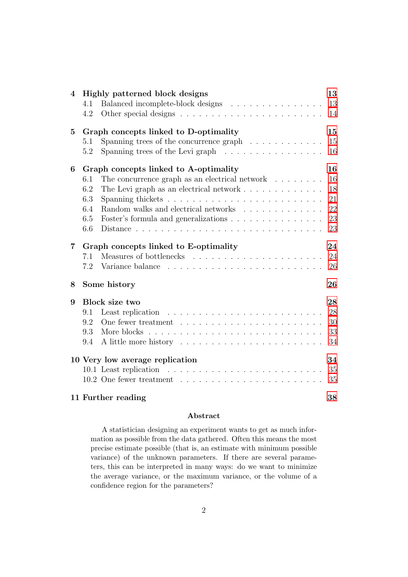| $\overline{\mathbf{4}}$ |     | Highly patterned block designs                                        | 13 |
|-------------------------|-----|-----------------------------------------------------------------------|----|
|                         | 4.1 | Balanced incomplete-block designs                                     | 13 |
|                         | 4.2 |                                                                       | 14 |
| $\bf{5}$                |     | Graph concepts linked to D-optimality                                 | 15 |
|                         | 5.1 | Spanning trees of the concurrence graph $\ldots \ldots \ldots \ldots$ | 15 |
|                         | 5.2 | Spanning trees of the Levi graph $\ldots \ldots \ldots \ldots \ldots$ | 16 |
| 6                       |     | Graph concepts linked to A-optimality                                 | 16 |
|                         | 6.1 | The concurrence graph as an electrical network $\ldots \ldots$        | 16 |
|                         | 6.2 | The Levi graph as an electrical network $\dots \dots \dots \dots$     | 18 |
|                         | 6.3 |                                                                       | 21 |
|                         | 6.4 | Random walks and electrical networks                                  | 22 |
|                         | 6.5 | Foster's formula and generalizations                                  | 23 |
|                         | 6.6 |                                                                       | 23 |
| $\overline{7}$          |     | Graph concepts linked to E-optimality                                 | 24 |
|                         | 7.1 |                                                                       | 24 |
|                         | 7.2 |                                                                       | 26 |
| 8                       |     | Some history                                                          | 26 |
| 9                       |     | Block size two                                                        | 28 |
|                         | 9.1 |                                                                       | 28 |
|                         | 9.2 |                                                                       | 30 |
|                         | 9.3 |                                                                       | 33 |
|                         | 9.4 |                                                                       | 34 |
|                         |     | 10 Very low average replication                                       | 34 |
|                         |     |                                                                       | 35 |
|                         |     |                                                                       | 35 |
|                         |     | 11 Further reading                                                    | 38 |

#### Abstract

A statistician designing an experiment wants to get as much information as possible from the data gathered. Often this means the most precise estimate possible (that is, an estimate with minimum possible variance) of the unknown parameters. If there are several parameters, this can be interpreted in many ways: do we want to minimize the average variance, or the maximum variance, or the volume of a confidence region for the parameters?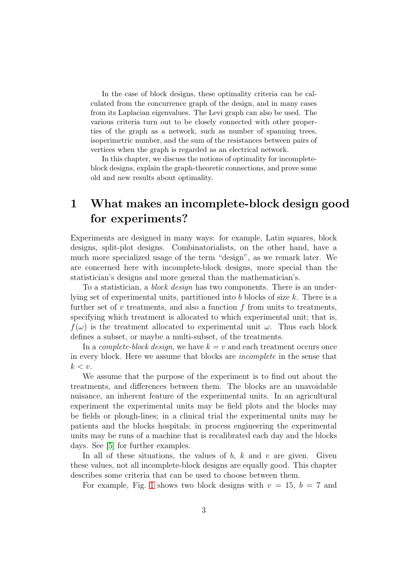In the case of block designs, these optimality criteria can be calculated from the concurrence graph of the design, and in many cases from its Laplacian eigenvalues. The Levi graph can also be used. The various criteria turn out to be closely connected with other properties of the graph as a network, such as number of spanning trees, isoperimetric number, and the sum of the resistances between pairs of vertices when the graph is regarded as an electrical network.

In this chapter, we discuss the notions of optimality for incompleteblock designs, explain the graph-theoretic connections, and prove some old and new results about optimality.

# <span id="page-2-0"></span>1 What makes an incomplete-block design good for experiments?

Experiments are designed in many ways: for example, Latin squares, block designs, split-plot designs. Combinatorialists, on the other hand, have a much more specialized usage of the term "design", as we remark later. We are concerned here with incomplete-block designs, more special than the statistician's designs and more general than the mathematician's.

To a statistician, a *block design* has two components. There is an underlying set of experimental units, partitioned into b blocks of size k. There is a further set of  $v$  treatments, and also a function  $f$  from units to treatments, specifying which treatment is allocated to which experimental unit; that is,  $f(\omega)$  is the treatment allocated to experimental unit  $\omega$ . Thus each block defines a subset, or maybe a multi-subset, of the treatments.

In a *complete-block design*, we have  $k = v$  and each treatment occurs once in every block. Here we assume that blocks are incomplete in the sense that  $k < v$ .

We assume that the purpose of the experiment is to find out about the treatments, and differences between them. The blocks are an unavoidable nuisance, an inherent feature of the experimental units. In an agricultural experiment the experimental units may be field plots and the blocks may be fields or plough-lines; in a clinical trial the experimental units may be patients and the blocks hospitals; in process engineering the experimental units may be runs of a machine that is recalibrated each day and the blocks days. See [\[5\]](#page-38-0) for further examples.

In all of these situations, the values of  $b, k$  and  $v$  are given. Given these values, not all incomplete-block designs are equally good. This chapter describes some criteria that can be used to choose between them.

For example, Fig. [1](#page-3-0) shows two block designs with  $v = 15$ ,  $b = 7$  and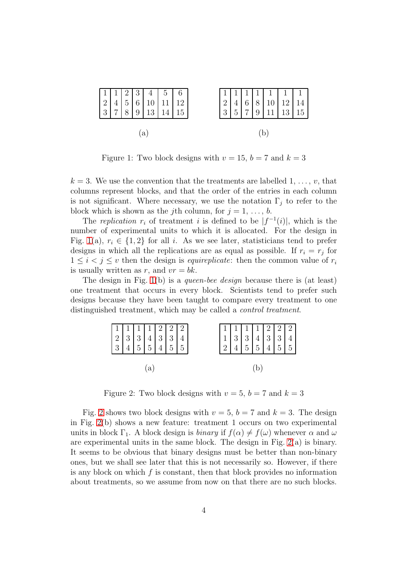

<span id="page-3-0"></span>Figure 1: Two block designs with  $v = 15$ ,  $b = 7$  and  $k = 3$ 

 $k = 3$ . We use the convention that the treatments are labelled 1, ..., v, that columns represent blocks, and that the order of the entries in each column is not significant. Where necessary, we use the notation  $\Gamma_i$  to refer to the block which is shown as the jth column, for  $j = 1, \ldots, b$ .

The replication  $r_i$  of treatment i is defined to be  $|f^{-1}(i)|$ , which is the number of experimental units to which it is allocated. For the design in Fig. [1\(](#page-3-0)a),  $r_i \in \{1,2\}$  for all i. As we see later, statisticians tend to prefer designs in which all the replications are as equal as possible. If  $r_i = r_j$  for  $1 \leq i \leq j \leq v$  then the design is *equireplicate*: then the common value of  $r_i$ is usually written as r, and  $vr = bk$ .

The design in Fig. [1\(](#page-3-0)b) is a *queen-bee design* because there is (at least) one treatment that occurs in every block. Scientists tend to prefer such designs because they have been taught to compare every treatment to one distinguished treatment, which may be called a control treatment.

| $\begin{array}{ c c c c c c } \hline 1 & 1 & 1 & 2 & 2 & 2 \\ 2 & 3 & 3 & 4 & 3 & 3 & 4 \\ 3 & 4 & 5 & 5 & 4 & 5 & 5 \\ \hline \end{array}$ |  |  | $\begin{array}{ c c c c c c }\hline 1&1&1&1&2&2&2\\ \hline 1&3&3&4&3&3&4\\ 2&4&5&5&4&5&5\\ \hline \end{array}$ |  |  |  |
|---------------------------------------------------------------------------------------------------------------------------------------------|--|--|----------------------------------------------------------------------------------------------------------------|--|--|--|

<span id="page-3-1"></span>Figure 2: Two block designs with  $v = 5$ ,  $b = 7$  and  $k = 3$ 

Fig. [2](#page-3-1) shows two block designs with  $v = 5$ ,  $b = 7$  and  $k = 3$ . The design in Fig. [2\(](#page-3-1)b) shows a new feature: treatment 1 occurs on two experimental units in block  $\Gamma_1$ . A block design is *binary* if  $f(\alpha) \neq f(\omega)$  whenever  $\alpha$  and  $\omega$ are experimental units in the same block. The design in Fig.  $2(a)$  is binary. It seems to be obvious that binary designs must be better than non-binary ones, but we shall see later that this is not necessarily so. However, if there is any block on which  $f$  is constant, then that block provides no information about treatments, so we assume from now on that there are no such blocks.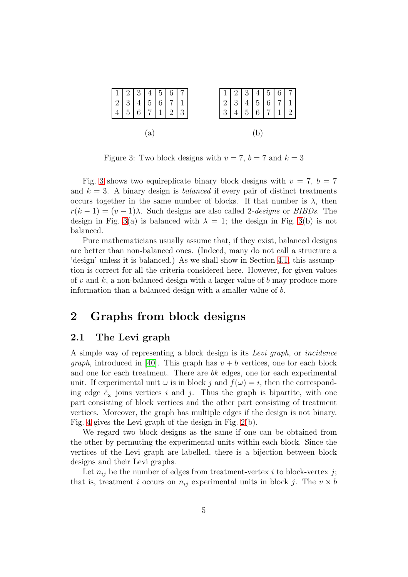

<span id="page-4-2"></span>Figure 3: Two block designs with  $v = 7$ ,  $b = 7$  and  $k = 3$ 

Fig. [3](#page-4-2) shows two equireplicate binary block designs with  $v = 7$ ,  $b = 7$ and  $k = 3$ . A binary design is *balanced* if every pair of distinct treatments occurs together in the same number of blocks. If that number is  $\lambda$ , then  $r(k-1) = (v-1)\lambda$ . Such designs are also called 2-*designs* or *BIBDs*. The design in Fig. [3\(](#page-4-2)a) is balanced with  $\lambda = 1$ ; the design in Fig. 3(b) is not balanced.

Pure mathematicians usually assume that, if they exist, balanced designs are better than non-balanced ones. (Indeed, many do not call a structure a 'design' unless it is balanced.) As we shall show in Section [4.1,](#page-12-1) this assumption is correct for all the criteria considered here. However, for given values of v and  $k$ , a non-balanced design with a larger value of b may produce more information than a balanced design with a smaller value of b.

## <span id="page-4-1"></span><span id="page-4-0"></span>2 Graphs from block designs

### 2.1 The Levi graph

A simple way of representing a block design is its Levi graph, or incidence *graph*, introduced in [\[40\]](#page-41-0). This graph has  $v + b$  vertices, one for each block and one for each treatment. There are bk edges, one for each experimental unit. If experimental unit  $\omega$  is in block j and  $f(\omega) = i$ , then the corresponding edge  $\tilde{e}_{\omega}$  joins vertices i and j. Thus the graph is bipartite, with one part consisting of block vertices and the other part consisting of treatment vertices. Moreover, the graph has multiple edges if the design is not binary. Fig. [4](#page-5-1) gives the Levi graph of the design in Fig. [2\(](#page-3-1)b).

We regard two block designs as the same if one can be obtained from the other by permuting the experimental units within each block. Since the vertices of the Levi graph are labelled, there is a bijection between block designs and their Levi graphs.

Let  $n_{ij}$  be the number of edges from treatment-vertex i to block-vertex j; that is, treatment i occurs on  $n_{ij}$  experimental units in block j. The  $v \times b$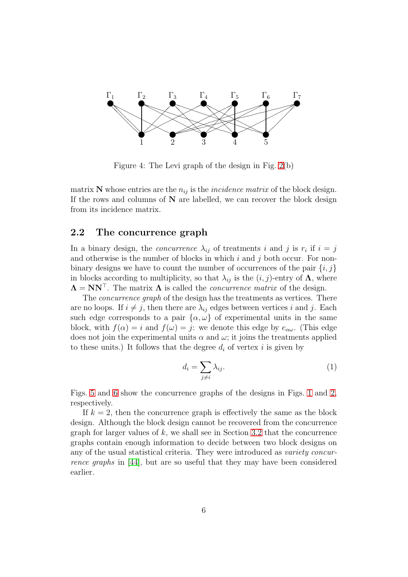

<span id="page-5-1"></span>Figure 4: The Levi graph of the design in Fig. [2\(](#page-3-1)b)

matrix N whose entries are the  $n_{ij}$  is the *incidence matrix* of the block design. If the rows and columns of  $N$  are labelled, we can recover the block design from its incidence matrix.

### <span id="page-5-0"></span>2.2 The concurrence graph

In a binary design, the *concurrence*  $\lambda_{ij}$  of treatments i and j is  $r_i$  if  $i = j$ and otherwise is the number of blocks in which  $i$  and  $j$  both occur. For nonbinary designs we have to count the number of occurrences of the pair  $\{i, j\}$ in blocks according to multiplicity, so that  $\lambda_{ij}$  is the  $(i, j)$ -entry of  $\Lambda$ , where  $\Lambda = NN^{\top}$ . The matrix  $\Lambda$  is called the *concurrence matrix* of the design.

The *concurrence graph* of the design has the treatments as vertices. There are no loops. If  $i \neq j$ , then there are  $\lambda_{ij}$  edges between vertices i and j. Each such edge corresponds to a pair  $\{\alpha,\omega\}$  of experimental units in the same block, with  $f(\alpha) = i$  and  $f(\omega) = j$ : we denote this edge by  $e_{\alpha\omega}$ . (This edge does not join the experimental units  $\alpha$  and  $\omega$ ; it joins the treatments applied to these units.) It follows that the degree  $d_i$  of vertex i is given by

$$
d_i = \sum_{j \neq i} \lambda_{ij}.\tag{1}
$$

Figs. [5](#page-6-0) and [6](#page-6-1) show the concurrence graphs of the designs in Figs. [1](#page-3-0) and [2,](#page-3-1) respectively.

If  $k = 2$ , then the concurrence graph is effectively the same as the block design. Although the block design cannot be recovered from the concurrence graph for larger values of  $k$ , we shall see in Section [3.2](#page-10-0) that the concurrence graphs contain enough information to decide between two block designs on any of the usual statistical criteria. They were introduced as variety concurrence graphs in [\[44\]](#page-41-1), but are so useful that they may have been considered earlier.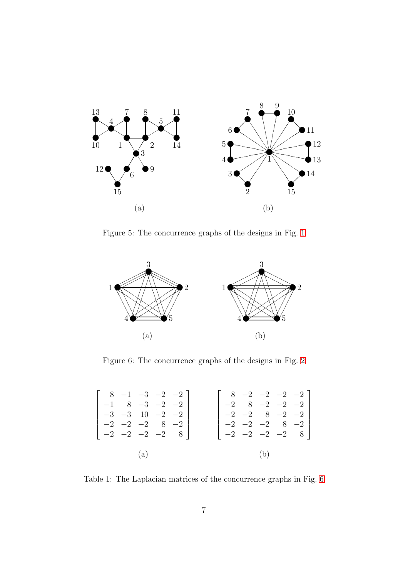

<span id="page-6-0"></span>Figure 5: The concurrence graphs of the designs in Fig. [1](#page-3-0)



<span id="page-6-1"></span>Figure 6: The concurrence graphs of the designs in Fig. [2](#page-3-1)

| $\begin{bmatrix} 8 & -1 & -3 & -2 & -2 \end{bmatrix}$ |                          |  |  |     | $\begin{bmatrix} 8 & -2 & -2 & -2 \\ -2 & -2 & -2 \end{bmatrix}$                                        |
|-------------------------------------------------------|--------------------------|--|--|-----|---------------------------------------------------------------------------------------------------------|
|                                                       | $-1$ 8 $-3$ $-2$ $-2$    |  |  |     | $\begin{vmatrix} -2 & 8 & -2 & -2 & -2 \end{vmatrix}$                                                   |
|                                                       | $-3$ $-3$ 10 $-2$ $-2$   |  |  |     |                                                                                                         |
| $\begin{vmatrix} -2 & -2 & -2 & 8 & -2 \end{vmatrix}$ |                          |  |  |     |                                                                                                         |
| $\begin{vmatrix} -2 & -2 & -2 & -2 & 8 \end{vmatrix}$ |                          |  |  |     | $\begin{bmatrix} -2 & -2 & 8 & -2 & -2 \\ -2 & -2 & -2 & 8 & -2 \\ -2 & -2 & -2 & -2 & 8 \end{bmatrix}$ |
|                                                       | $\left( \text{a}\right)$ |  |  | (b) |                                                                                                         |

<span id="page-6-2"></span>Table 1: The Laplacian matrices of the concurrence graphs in Fig. [6](#page-6-1)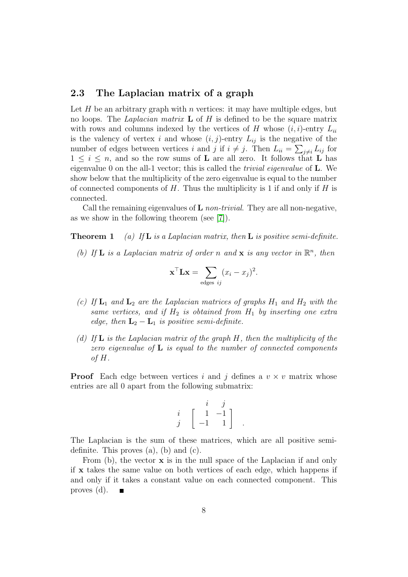## <span id="page-7-0"></span>2.3 The Laplacian matrix of a graph

Let  $H$  be an arbitrary graph with  $n$  vertices: it may have multiple edges, but no loops. The *Laplacian matrix*  $\bf{L}$  of  $H$  is defined to be the square matrix with rows and columns indexed by the vertices of H whose  $(i, i)$ -entry  $L_{ii}$ is the valency of vertex i and whose  $(i, j)$ -entry  $L_{ij}$  is the negative of the number of edges between vertices i and j if  $i \neq j$ . Then  $L_{ii} = \sum_{j \neq i} L_{ij}$  for  $1 \leq i \leq n$ , and so the row sums of **L** are all zero. It follows that **L** has eigenvalue 0 on the all-1 vector; this is called the trivial eigenvalue of L. We show below that the multiplicity of the zero eigenvalue is equal to the number of connected components of  $H$ . Thus the multiplicity is 1 if and only if  $H$  is connected.

<span id="page-7-1"></span>Call the remaining eigenvalues of  $L$  non-trivial. They are all non-negative, as we show in the following theorem (see [\[7\]](#page-38-1)).

**Theorem 1** (a) If **L** is a Laplacian matrix, then **L** is positive semi-definite.

(b) If **L** is a Laplacian matrix of order n and **x** is any vector in  $\mathbb{R}^n$ , then

$$
\mathbf{x}^{\top} \mathbf{L} \mathbf{x} = \sum_{\text{edges } ij} (x_i - x_j)^2.
$$

- (c) If  $L_1$  and  $L_2$  are the Laplacian matrices of graphs  $H_1$  and  $H_2$  with the same vertices, and if  $H_2$  is obtained from  $H_1$  by inserting one extra edge, then  $L_2 - L_1$  is positive semi-definite.
- (d) If  $\bf{L}$  is the Laplacian matrix of the graph  $H$ , then the multiplicity of the zero eigenvalue of  $L$  is equal to the number of connected components of H.

**Proof** Each edge between vertices i and j defines a  $v \times v$  matrix whose entries are all 0 apart from the following submatrix:

$$
\begin{array}{cc} i & j \\ j & \left[ \begin{array}{cc} 1 & -1 \\ -1 & 1 \end{array} \right] \end{array}.
$$

The Laplacian is the sum of these matrices, which are all positive semidefinite. This proves (a), (b) and (c).

From  $(b)$ , the vector  $x$  is in the null space of the Laplacian if and only if x takes the same value on both vertices of each edge, which happens if and only if it takes a constant value on each connected component. This proves (d).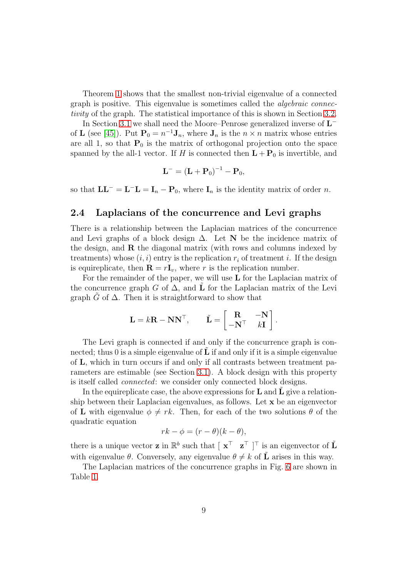Theorem [1](#page-7-1) shows that the smallest non-trivial eigenvalue of a connected graph is positive. This eigenvalue is sometimes called the *algebraic connec*tivity of the graph. The statistical importance of this is shown in Section [3.2.](#page-10-0)

In Section [3.1](#page-9-1) we shall need the Moore–Penrose generalized inverse of  $\mathbf{L}^$ of **L** (see [\[45\]](#page-41-2)). Put  $\mathbf{P}_0 = n^{-1} \mathbf{J}_n$ , where  $\mathbf{J}_n$  is the  $n \times n$  matrix whose entries are all 1, so that  $P_0$  is the matrix of orthogonal projection onto the space spanned by the all-1 vector. If H is connected then  $L + P_0$  is invertible, and

$$
\mathbf{L}^- = (\mathbf{L} + \mathbf{P}_0)^{-1} - \mathbf{P}_0,
$$

so that  $\mathbf{L}\mathbf{L}^- = \mathbf{L}^- \mathbf{L} = \mathbf{I}_n - \mathbf{P}_0$ , where  $\mathbf{I}_n$  is the identity matrix of order n.

## <span id="page-8-0"></span>2.4 Laplacians of the concurrence and Levi graphs

There is a relationship between the Laplacian matrices of the concurrence and Levi graphs of a block design  $\Delta$ . Let N be the incidence matrix of the design, and  $\bf{R}$  the diagonal matrix (with rows and columns indexed by treatments) whose  $(i, i)$  entry is the replication  $r_i$  of treatment i. If the design is equireplicate, then  $\mathbf{R} = r\mathbf{I}_v$ , where r is the replication number.

For the remainder of the paper, we will use  $L$  for the Laplacian matrix of the concurrence graph G of  $\Delta$ , and L for the Laplacian matrix of the Levi graph  $\tilde{G}$  of  $\Delta$ . Then it is straightforward to show that

$$
\mathbf{L} = k\mathbf{R} - \mathbf{N}\mathbf{N}^{\top}, \qquad \tilde{\mathbf{L}} = \begin{bmatrix} \mathbf{R} & -\mathbf{N} \\ -\mathbf{N}^{\top} & k\mathbf{I} \end{bmatrix}.
$$

The Levi graph is connected if and only if the concurrence graph is connected; thus 0 is a simple eigenvalue of  $\bf{L}$  if and only if it is a simple eigenvalue of L, which in turn occurs if and only if all contrasts between treatment parameters are estimable (see Section [3.1\)](#page-9-1). A block design with this property is itself called connected: we consider only connected block designs.

In the equireplicate case, the above expressions for  $L$  and  $L$  give a relationship between their Laplacian eigenvalues, as follows. Let x be an eigenvector of L with eigenvalue  $\phi \neq rk$ . Then, for each of the two solutions  $\theta$  of the quadratic equation

$$
rk - \phi = (r - \theta)(k - \theta),
$$

there is a unique vector **z** in  $\mathbb{R}^b$  such that  $\begin{bmatrix} \mathbf{x}^{\top} & \mathbf{z}^{\top} \end{bmatrix}^{\top}$  is an eigenvector of  $\tilde{\mathbf{L}}$ with eigenvalue  $\theta$ . Conversely, any eigenvalue  $\theta \neq k$  of  $\tilde{\bf{L}}$  arises in this way.

The Laplacian matrices of the concurrence graphs in Fig. [6](#page-6-1) are shown in Table [1.](#page-6-2)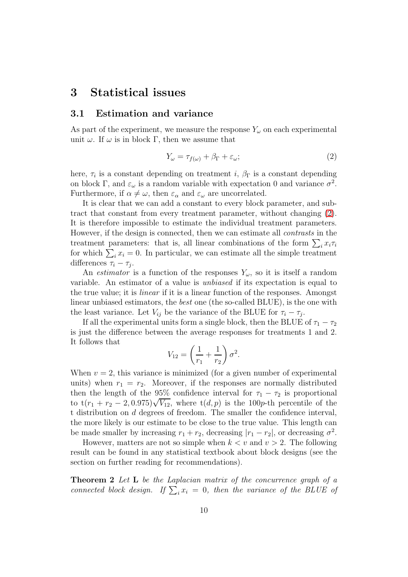## <span id="page-9-1"></span><span id="page-9-0"></span>3 Statistical issues

### 3.1 Estimation and variance

As part of the experiment, we measure the response  $Y_\omega$  on each experimental unit  $\omega$ . If  $\omega$  is in block Γ, then we assume that

<span id="page-9-2"></span>
$$
Y_{\omega} = \tau_{f(\omega)} + \beta_{\Gamma} + \varepsilon_{\omega};\tag{2}
$$

here,  $\tau_i$  is a constant depending on treatment i,  $\beta_{\Gamma}$  is a constant depending on block Γ, and  $\varepsilon_{\omega}$  is a random variable with expectation 0 and variance  $\sigma^2$ . Furthermore, if  $\alpha \neq \omega$ , then  $\varepsilon_{\alpha}$  and  $\varepsilon_{\omega}$  are uncorrelated.

It is clear that we can add a constant to every block parameter, and subtract that constant from every treatment parameter, without changing [\(2\)](#page-9-2). It is therefore impossible to estimate the individual treatment parameters. However, if the design is connected, then we can estimate all contrasts in the treatment parameters: that is, all linear combinations of the form  $\sum_i x_i \tau_i$ for which  $\sum_i x_i = 0$ . In particular, we can estimate all the simple treatment differences  $\tau_i - \tau_j$ .

An *estimator* is a function of the responses  $Y_\omega$ , so it is itself a random variable. An estimator of a value is unbiased if its expectation is equal to the true value; it is linear if it is a linear function of the responses. Amongst linear unbiased estimators, the best one (the so-called BLUE), is the one with the least variance. Let  $V_{ij}$  be the variance of the BLUE for  $\tau_i - \tau_j$ .

If all the experimental units form a single block, then the BLUE of  $\tau_1 - \tau_2$ is just the difference between the average responses for treatments 1 and 2. It follows that

$$
V_{12} = \left(\frac{1}{r_1} + \frac{1}{r_2}\right)\sigma^2.
$$

When  $v = 2$ , this variance is minimized (for a given number of experimental units) when  $r_1 = r_2$ . Moreover, if the responses are normally distributed then the length of the 95% confidence interval for  $\tau_1 - \tau_2$  is proportional to  $t(r_1 + r_2 - 2, 0.975)\sqrt{V_{12}}$ , where  $t(d, p)$  is the 100p-th percentile of the t distribution on d degrees of freedom. The smaller the confidence interval, the more likely is our estimate to be close to the true value. This length can be made smaller by increasing  $r_1 + r_2$ , decreasing  $|r_1 - r_2|$ , or decreasing  $\sigma^2$ .

However, matters are not so simple when  $k < v$  and  $v > 2$ . The following result can be found in any statistical textbook about block designs (see the section on further reading for recommendations).

<span id="page-9-3"></span>Theorem 2 Let L be the Laplacian matrix of the concurrence graph of a connected block design. If  $\sum_i x_i = 0$ , then the variance of the BLUE of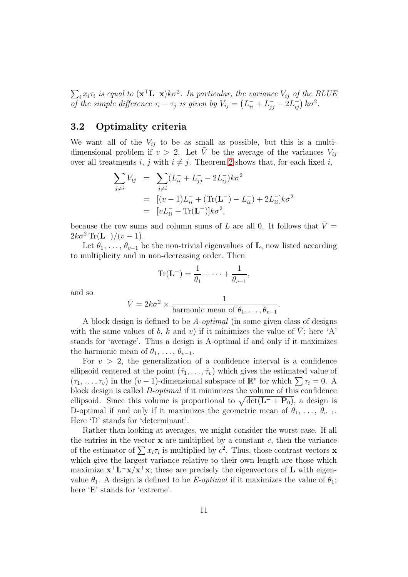$\sum_i x_i \tau_i$  is equal to  $(\mathbf{x}^\top \mathbf{L}^- \mathbf{x})k\sigma^2$ . In particular, the variance  $V_{ij}$  of the BLUE of the simple difference  $\tau_i - \tau_j$  is given by  $V_{ij} = (L_{ii}^- + L_{jj}^- - 2L_{ij}^-) k\sigma^2$ .

## <span id="page-10-0"></span>3.2 Optimality criteria

We want all of the  $V_{ij}$  to be as small as possible, but this is a multidimensional problem if  $v > 2$ . Let V be the average of the variances  $V_{ij}$ over all treatments i, j with  $i \neq j$ . Theorem [2](#page-9-3) shows that, for each fixed i,

$$
\sum_{j \neq i} V_{ij} = \sum_{j \neq i} (L_{ii}^- + L_{jj}^- - 2L_{ij}^-)k\sigma^2
$$
  
= 
$$
[(v - 1)L_{ii}^- + (\text{Tr}(\mathbf{L}^-) - L_{ii}^-) + 2L_{ii}^-]k\sigma^2
$$
  
= 
$$
[vL_{ii}^- + \text{Tr}(\mathbf{L}^-)]k\sigma^2,
$$

because the row sums and column sums of L are all 0. It follows that  $\bar{V}$  =  $2k\sigma^2 \text{Tr}(\mathbf{L}^-)/(v-1).$ 

Let  $\theta_1, \ldots, \theta_{v-1}$  be the non-trivial eigenvalues of **L**, now listed according to multiplicity and in non-decreasing order. Then

$$
\operatorname{Tr}(\mathbf{L}^{-}) = \frac{1}{\theta_{1}} + \cdots + \frac{1}{\theta_{v-1}},
$$

and so

$$
\bar{V} = 2k\sigma^2 \times \frac{1}{\text{harmonic mean of } \theta_1, \dots, \theta_{v-1}}.
$$

A block design is defined to be A-optimal (in some given class of designs with the same values of b, k and v) if it minimizes the value of V; here 'A' stands for 'average'. Thus a design is A-optimal if and only if it maximizes the harmonic mean of  $\theta_1, \ldots, \theta_{v-1}$ .

For  $v > 2$ , the generalization of a confidence interval is a confidence ellipsoid centered at the point  $(\hat{\tau}_1, \ldots, \hat{\tau}_v)$  which gives the estimated value of  $(\tau_1, \ldots, \tau_v)$  in the  $(v-1)$ -dimensional subspace of  $\mathbb{R}^v$  for which  $\sum \tau_i = 0$ . A block design is called D-optimal if it minimizes the volume of this confidence ellipsoid. Since this volume is proportional to  $\sqrt{\det(\mathbf{L}^- + \mathbf{P}_0)}$ , a design is D-optimal if and only if it maximizes the geometric mean of  $\theta_1, \ldots, \theta_{v-1}$ . Here 'D' stands for 'determinant'.

Rather than looking at averages, we might consider the worst case. If all the entries in the vector  $x$  are multiplied by a constant  $c$ , then the variance of the estimator of  $\sum x_i \tau_i$  is multiplied by  $c^2$ . Thus, those contrast vectors **x** which give the largest variance relative to their own length are those which maximize  $\mathbf{x}^\top \mathbf{L}^- \mathbf{x} / \mathbf{x}^\top \mathbf{x}$ ; these are precisely the eigenvectors of L with eigenvalue  $\theta_1$ . A design is defined to be *E-optimal* if it maximizes the value of  $\theta_1$ ; here 'E' stands for 'extreme'.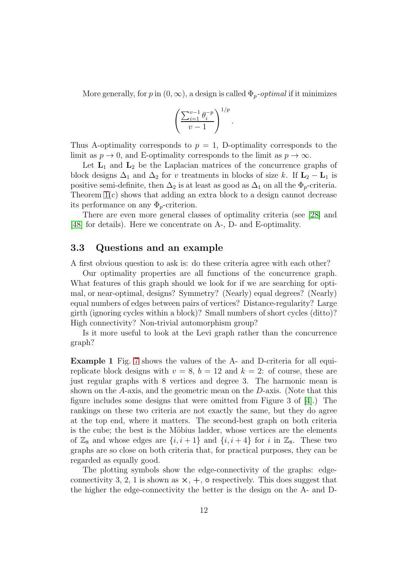More generally, for p in  $(0, \infty)$ , a design is called  $\Phi_p$ -optimal if it minimizes

.

$$
\left(\frac{\sum_{i=1}^{v-1} \theta_i^{-p}}{v-1}\right)^{1/p}
$$

Thus A-optimality corresponds to  $p = 1$ , D-optimality corresponds to the limit as  $p \to 0$ , and E-optimality corresponds to the limit as  $p \to \infty$ .

Let  $L_1$  and  $L_2$  be the Laplacian matrices of the concurrence graphs of block designs  $\Delta_1$  and  $\Delta_2$  for v treatments in blocks of size k. If  $\mathbf{L}_2 - \mathbf{L}_1$  is positive semi-definite, then  $\Delta_2$  is at least as good as  $\Delta_1$  on all the  $\Phi_p$ -criteria. Theorem [1\(](#page-7-1)c) shows that adding an extra block to a design cannot decrease its performance on any  $\Phi_p$ -criterion.

There are even more general classes of optimality criteria (see [\[28\]](#page-40-0) and [\[48\]](#page-41-3) for details). Here we concentrate on A-, D- and E-optimality.

#### <span id="page-11-0"></span>3.3 Questions and an example

A first obvious question to ask is: do these criteria agree with each other?

Our optimality properties are all functions of the concurrence graph. What features of this graph should we look for if we are searching for optimal, or near-optimal, designs? Symmetry? (Nearly) equal degrees? (Nearly) equal numbers of edges between pairs of vertices? Distance-regularity? Large girth (ignoring cycles within a block)? Small numbers of short cycles (ditto)? High connectivity? Non-trivial automorphism group?

Is it more useful to look at the Levi graph rather than the concurrence graph?

Example 1 Fig. [7](#page-12-2) shows the values of the A- and D-criteria for all equireplicate block designs with  $v = 8$ ,  $b = 12$  and  $k = 2$ : of course, these are just regular graphs with 8 vertices and degree 3. The harmonic mean is shown on the A-axis, and the geometric mean on the D-axis. (Note that this figure includes some designs that were omitted from Figure 3 of [\[4\]](#page-38-2).) The rankings on these two criteria are not exactly the same, but they do agree at the top end, where it matters. The second-best graph on both criteria is the cube; the best is the Möbius ladder, whose vertices are the elements of  $\mathbb{Z}_8$  and whose edges are  $\{i, i+1\}$  and  $\{i, i+4\}$  for i in  $\mathbb{Z}_8$ . These two graphs are so close on both criteria that, for practical purposes, they can be regarded as equally good.

The plotting symbols show the edge-connectivity of the graphs: edgeconnectivity 3, 2, 1 is shown as  $\times$ ,  $+$ ,  $\circ$  respectively. This does suggest that the higher the edge-connectivity the better is the design on the A- and D-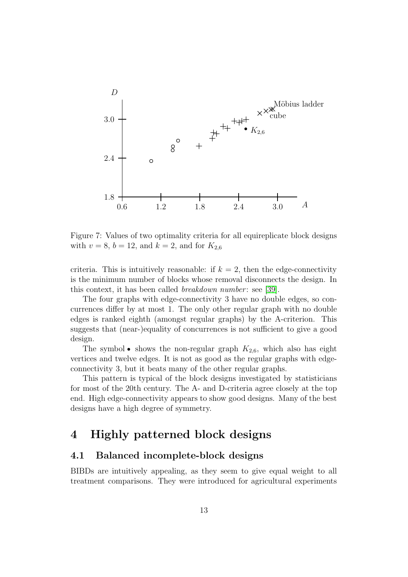

<span id="page-12-2"></span>Figure 7: Values of two optimality criteria for all equireplicate block designs with  $v = 8$ ,  $b = 12$ , and  $k = 2$ , and for  $K_{2,6}$ 

criteria. This is intuitively reasonable: if  $k = 2$ , then the edge-connectivity is the minimum number of blocks whose removal disconnects the design. In this context, it has been called *breakdown number*: see [\[39\]](#page-41-4).

The four graphs with edge-connectivity 3 have no double edges, so concurrences differ by at most 1. The only other regular graph with no double edges is ranked eighth (amongst regular graphs) by the A-criterion. This suggests that (near-)equality of concurrences is not sufficient to give a good design.

The symbol • shows the non-regular graph  $K_{2,6}$ , which also has eight vertices and twelve edges. It is not as good as the regular graphs with edgeconnectivity 3, but it beats many of the other regular graphs.

This pattern is typical of the block designs investigated by statisticians for most of the 20th century. The A- and D-criteria agree closely at the top end. High edge-connectivity appears to show good designs. Many of the best designs have a high degree of symmetry.

## <span id="page-12-0"></span>4 Highly patterned block designs

### <span id="page-12-1"></span>4.1 Balanced incomplete-block designs

BIBDs are intuitively appealing, as they seem to give equal weight to all treatment comparisons. They were introduced for agricultural experiments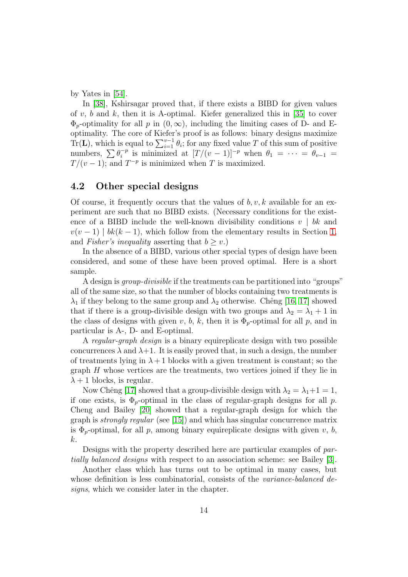by Yates in [\[54\]](#page-42-0).

In [\[38\]](#page-41-5), Kshirsagar proved that, if there exists a BIBD for given values of v, b and k, then it is A-optimal. Kiefer generalized this in [\[35\]](#page-40-1) to cover  $\Phi_p$ -optimality for all p in  $(0,\infty)$ , including the limiting cases of D- and Eoptimality. The core of Kiefer's proof is as follows: binary designs maximize Tr(**L**), which is equal to  $\sum_{i=1}^{v-1} \theta_i$ ; for any fixed value T of this sum of positive numbers,  $\sum \theta_i^{-p}$  $i^{-p}$  is minimized at  $[T/(v-1)]^{-p}$  when  $\theta_1 = \cdots = \theta_{v-1}$  $T/(v-1)$ ; and  $T^{-p}$  is minimized when T is maximized.

## <span id="page-13-0"></span>4.2 Other special designs

Of course, it frequently occurs that the values of b, v, k available for an experiment are such that no BIBD exists. (Necessary conditions for the existence of a BIBD include the well-known divisibility conditions  $v \mid bk$  and  $v(v-1) | bk(k-1)$ , which follow from the elementary results in Section [1,](#page-2-0) and Fisher's inequality asserting that  $b \geq v$ .)

In the absence of a BIBD, various other special types of design have been considered, and some of these have been proved optimal. Here is a short sample.

A design is group-divisible if the treatments can be partitioned into "groups" all of the same size, so that the number of blocks containing two treatments is  $\lambda_1$  if they belong to the same group and  $\lambda_2$  otherwise. Chêng [\[16,](#page-39-0) [17\]](#page-39-1) showed that if there is a group-divisible design with two groups and  $\lambda_2 = \lambda_1 + 1$  in the class of designs with given v, b, k, then it is  $\Phi_p$ -optimal for all p, and in particular is A-, D- and E-optimal.

A regular-graph design is a binary equireplicate design with two possible concurrences  $\lambda$  and  $\lambda+1$ . It is easily proved that, in such a design, the number of treatments lying in  $\lambda + 1$  blocks with a given treatment is constant; so the graph  $H$  whose vertices are the treatments, two vertices joined if they lie in  $\lambda + 1$  blocks, is regular.

Now Chêng [\[17\]](#page-39-1) showed that a group-divisible design with  $\lambda_2 = \lambda_1 + 1 = 1$ , if one exists, is  $\Phi_p$ -optimal in the class of regular-graph designs for all p. Cheng and Bailey [\[20\]](#page-39-2) showed that a regular-graph design for which the graph is strongly regular (see [\[15\]](#page-39-3)) and which has singular concurrence matrix is  $\Phi_p$ -optimal, for all p, among binary equireplicate designs with given v, b, k.

Designs with the property described here are particular examples of partially balanced designs with respect to an association scheme: see Bailey [\[3\]](#page-38-3).

Another class which has turns out to be optimal in many cases, but whose definition is less combinatorial, consists of the *variance-balanced de*signs, which we consider later in the chapter.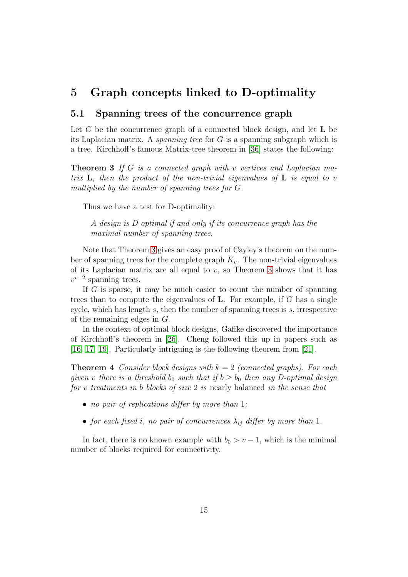## <span id="page-14-1"></span><span id="page-14-0"></span>5 Graph concepts linked to D-optimality

## 5.1 Spanning trees of the concurrence graph

Let  $G$  be the concurrence graph of a connected block design, and let  $L$  be its Laplacian matrix. A *spanning tree* for  $G$  is a spanning subgraph which is a tree. Kirchhoff's famous Matrix-tree theorem in [\[36\]](#page-40-2) states the following:

<span id="page-14-2"></span>**Theorem 3** If G is a connected graph with v vertices and Laplacian matrix  $\bf{L}$ , then the product of the non-trivial eigenvalues of  $\bf{L}$  is equal to v multiplied by the number of spanning trees for G.

Thus we have a test for D-optimality:

A design is D-optimal if and only if its concurrence graph has the maximal number of spanning trees.

Note that Theorem [3](#page-14-2) gives an easy proof of Cayley's theorem on the number of spanning trees for the complete graph  $K_v$ . The non-trivial eigenvalues of its Laplacian matrix are all equal to  $v$ , so Theorem [3](#page-14-2) shows that it has  $v^{v-2}$  spanning trees.

If G is sparse, it may be much easier to count the number of spanning trees than to compute the eigenvalues of **. For example, if**  $G$  **has a single** cycle, which has length s, then the number of spanning trees is  $s$ , irrespective of the remaining edges in G.

In the context of optimal block designs, Gaffke discovered the importance of Kirchhoff's theorem in [\[26\]](#page-40-3). Cheng followed this up in papers such as [\[16,](#page-39-0) [17,](#page-39-1) [19\]](#page-39-4). Particularly intriguing is the following theorem from [\[21\]](#page-39-5).

**Theorem 4** Consider block designs with  $k = 2$  (connected graphs). For each given v there is a threshold b<sub>0</sub> such that if  $b \ge b_0$  then any D-optimal design for v treatments in b blocks of size 2 is nearly balanced in the sense that

- no pair of replications differ by more than 1;
- for each fixed i, no pair of concurrences  $\lambda_{ij}$  differ by more than 1.

In fact, there is no known example with  $b_0 > v - 1$ , which is the minimal number of blocks required for connectivity.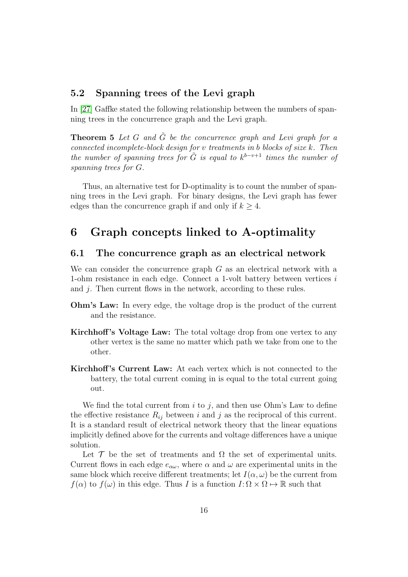## <span id="page-15-0"></span>5.2 Spanning trees of the Levi graph

<span id="page-15-3"></span>In [\[27\]](#page-40-4) Gaffke stated the following relationship between the numbers of spanning trees in the concurrence graph and the Levi graph.

**Theorem 5** Let G and  $\tilde{G}$  be the concurrence graph and Levi graph for a connected incomplete-block design for v treatments in b blocks of size k. Then the number of spanning trees for  $\tilde{G}$  is equal to  $k^{b-v+1}$  times the number of spanning trees for G.

Thus, an alternative test for D-optimality is to count the number of spanning trees in the Levi graph. For binary designs, the Levi graph has fewer edges than the concurrence graph if and only if  $k > 4$ .

## <span id="page-15-2"></span><span id="page-15-1"></span>6 Graph concepts linked to A-optimality

### 6.1 The concurrence graph as an electrical network

We can consider the concurrence graph  $G$  as an electrical network with a 1-ohm resistance in each edge. Connect a 1-volt battery between vertices  $i$ and j. Then current flows in the network, according to these rules.

- Ohm's Law: In every edge, the voltage drop is the product of the current and the resistance.
- Kirchhoff 's Voltage Law: The total voltage drop from one vertex to any other vertex is the same no matter which path we take from one to the other.
- Kirchhoff 's Current Law: At each vertex which is not connected to the battery, the total current coming in is equal to the total current going out.

We find the total current from  $i$  to  $j$ , and then use Ohm's Law to define the effective resistance  $R_{ij}$  between i and j as the reciprocal of this current. It is a standard result of electrical network theory that the linear equations implicitly defined above for the currents and voltage differences have a unique solution.

Let  $\mathcal T$  be the set of treatments and  $\Omega$  the set of experimental units. Current flows in each edge  $e_{\alpha\omega}$ , where  $\alpha$  and  $\omega$  are experimental units in the same block which receive different treatments; let  $I(\alpha,\omega)$  be the current from  $f(\alpha)$  to  $f(\omega)$  in this edge. Thus I is a function  $I: \Omega \times \Omega \mapsto \mathbb{R}$  such that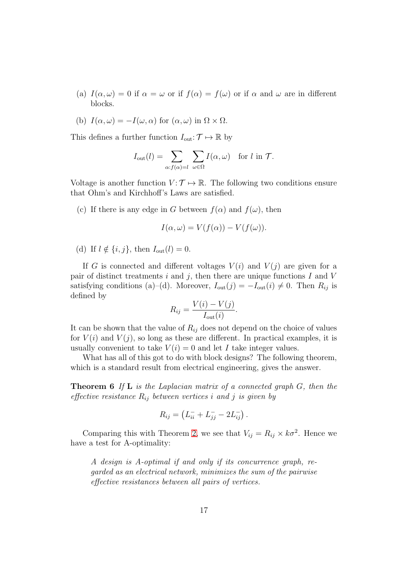- (a)  $I(\alpha,\omega) = 0$  if  $\alpha = \omega$  or if  $f(\alpha) = f(\omega)$  or if  $\alpha$  and  $\omega$  are in different blocks.
- (b)  $I(\alpha,\omega) = -I(\omega,\alpha)$  for  $(\alpha,\omega)$  in  $\Omega \times \Omega$ .

This defines a further function  $I_{\text{out}}: \mathcal{T} \mapsto \mathbb{R}$  by

$$
I_{\text{out}}(l) = \sum_{\alpha: f(\alpha) = l} \sum_{\omega \in \Omega} I(\alpha, \omega) \text{ for } l \text{ in } \mathcal{T}.
$$

Voltage is another function  $V: \mathcal{T} \mapsto \mathbb{R}$ . The following two conditions ensure that Ohm's and Kirchhoff's Laws are satisfied.

(c) If there is any edge in G between  $f(\alpha)$  and  $f(\omega)$ , then

$$
I(\alpha,\omega) = V(f(\alpha)) - V(f(\omega)).
$$

(d) If  $l \notin \{i, j\}$ , then  $I_{\text{out}}(l) = 0$ .

If G is connected and different voltages  $V(i)$  and  $V(j)$  are given for a pair of distinct treatments  $i$  and  $j$ , then there are unique functions  $I$  and  $V$ satisfying conditions (a)–(d). Moreover,  $I_{out}(j) = -I_{out}(i) \neq 0$ . Then  $R_{ij}$  is defined by

$$
R_{ij} = \frac{V(i) - V(j)}{I_{\text{out}}(i)}.
$$

It can be shown that the value of  $R_{ij}$  does not depend on the choice of values for  $V(i)$  and  $V(j)$ , so long as these are different. In practical examples, it is usually convenient to take  $V(i) = 0$  and let I take integer values.

<span id="page-16-0"></span>What has all of this got to do with block designs? The following theorem, which is a standard result from electrical engineering, gives the answer.

**Theorem 6** If  $\bf{L}$  is the Laplacian matrix of a connected graph  $G$ , then the effective resistance  $R_{ij}$  between vertices i and j is given by

$$
R_{ij} = \left( L_{ii}^- + L_{jj}^- - 2L_{ij}^- \right).
$$

Comparing this with Theorem [2,](#page-9-3) we see that  $V_{ij} = R_{ij} \times k\sigma^2$ . Hence we have a test for A-optimality:

A design is A-optimal if and only if its concurrence graph, regarded as an electrical network, minimizes the sum of the pairwise effective resistances between all pairs of vertices.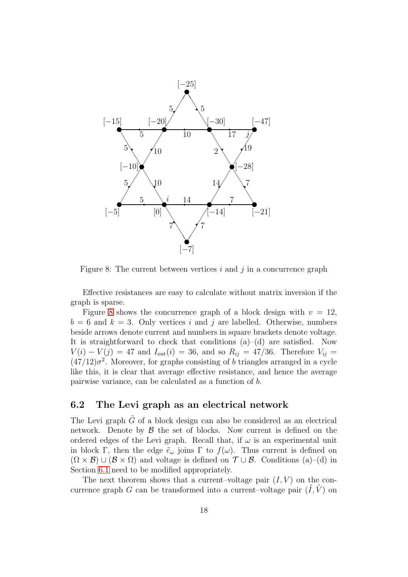

<span id="page-17-1"></span>Figure 8: The current between vertices  $i$  and  $j$  in a concurrence graph

Effective resistances are easy to calculate without matrix inversion if the graph is sparse.

Figure [8](#page-17-1) shows the concurrence graph of a block design with  $v = 12$ ,  $b = 6$  and  $k = 3$ . Only vertices i and j are labelled. Otherwise, numbers beside arrows denote current and numbers in square brackets denote voltage. It is straightforward to check that conditions  $(a)$ – $(d)$  are satisfied. Now  $V(i) - V(j) = 47$  and  $I_{out}(i) = 36$ , and so  $R_{ij} = 47/36$ . Therefore  $V_{ij} =$  $(47/12)\sigma^2$ . Moreover, for graphs consisting of b triangles arranged in a cycle like this, it is clear that average effective resistance, and hence the average pairwise variance, can be calculated as a function of b.

## <span id="page-17-0"></span>6.2 The Levi graph as an electrical network

The Levi graph  $\tilde{G}$  of a block design can also be considered as an electrical network. Denote by  $\beta$  the set of blocks. Now current is defined on the ordered edges of the Levi graph. Recall that, if  $\omega$  is an experimental unit in block Γ, then the edge  $\tilde{e}_{\omega}$  joins Γ to  $f(\omega)$ . Thus current is defined on  $(\Omega \times \mathcal{B}) \cup (\mathcal{B} \times \Omega)$  and voltage is defined on  $\mathcal{T} \cup \mathcal{B}$ . Conditions (a)–(d) in Section [6.1](#page-15-2) need to be modified appropriately.

The next theorem shows that a current–voltage pair  $(I, V)$  on the concurrence graph G can be transformed into a current–voltage pair  $(I, V)$  on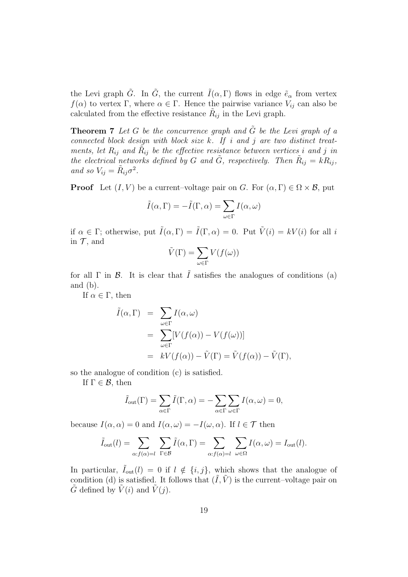the Levi graph  $\tilde{G}$ . In  $\tilde{G}$ , the current  $\tilde{I}(\alpha,\Gamma)$  flows in edge  $\tilde{e}_{\alpha}$  from vertex  $f(\alpha)$  to vertex Γ, where  $\alpha \in \Gamma$ . Hence the pairwise variance  $V_{ij}$  can also be calculated from the effective resistance  $R_{ij}$  in the Levi graph.

<span id="page-18-0"></span>**Theorem 7** Let G be the concurrence graph and  $\tilde{G}$  be the Levi graph of a connected block design with block size  $k$ . If i and j are two distinct treatments, let  $R_{ij}$  and  $\tilde{R}_{ij}$  be the effective resistance between vertices i and j in the electrical networks defined by G and  $\tilde{G}$ , respectively. Then  $\tilde{R}_{ij} = kR_{ij}$ , and so  $V_{ij} = \tilde{R}_{ij} \sigma^2$ .

**Proof** Let  $(I, V)$  be a current–voltage pair on G. For  $(\alpha, \Gamma) \in \Omega \times \mathcal{B}$ , put

$$
\tilde{I}(\alpha,\Gamma) = -\tilde{I}(\Gamma,\alpha) = \sum_{\omega \in \Gamma} I(\alpha,\omega)
$$

if  $\alpha \in \Gamma$ ; otherwise, put  $\tilde{I}(\alpha, \Gamma) = \tilde{I}(\Gamma, \alpha) = 0$ . Put  $\tilde{V}(i) = kV(i)$  for all i in  $\mathcal T$ , and

$$
\tilde{V}(\Gamma) = \sum_{\omega \in \Gamma} V(f(\omega))
$$

for all  $\Gamma$  in  $\mathcal{B}$ . It is clear that  $\tilde{I}$  satisfies the analogues of conditions (a) and (b).

If  $\alpha \in \Gamma$ , then

$$
\tilde{I}(\alpha, \Gamma) = \sum_{\omega \in \Gamma} I(\alpha, \omega)
$$
  
= 
$$
\sum_{\omega \in \Gamma} [V(f(\alpha)) - V(f(\omega))]
$$
  
= 
$$
kV(f(\alpha)) - \tilde{V}(\Gamma) = \tilde{V}(f(\alpha)) - \tilde{V}(\Gamma),
$$

so the analogue of condition (c) is satisfied.

If  $\Gamma \in \mathcal{B}$ , then

$$
\tilde{I}_{\text{out}}(\Gamma) = \sum_{\alpha \in \Gamma} \tilde{I}(\Gamma, \alpha) = -\sum_{\alpha \in \Gamma} \sum_{\omega \in \Gamma} I(\alpha, \omega) = 0,
$$

because  $I(\alpha, \alpha) = 0$  and  $I(\alpha, \omega) = -I(\omega, \alpha)$ . If  $l \in \mathcal{T}$  then

$$
\tilde{I}_{\text{out}}(l) = \sum_{\alpha: f(\alpha) = l} \sum_{\Gamma \in \mathcal{B}} \tilde{I}(\alpha, \Gamma) = \sum_{\alpha: f(\alpha) = l} \sum_{\omega \in \Omega} I(\alpha, \omega) = I_{\text{out}}(l).
$$

In particular,  $\tilde{I}_{out}(l) = 0$  if  $l \notin \{i, j\}$ , which shows that the analogue of condition (d) is satisfied. It follows that  $(\tilde{I}, \tilde{V})$  is the current–voltage pair on  $\tilde{G}$  defined by  $\tilde{V}(i)$  and  $\tilde{V}(j)$ .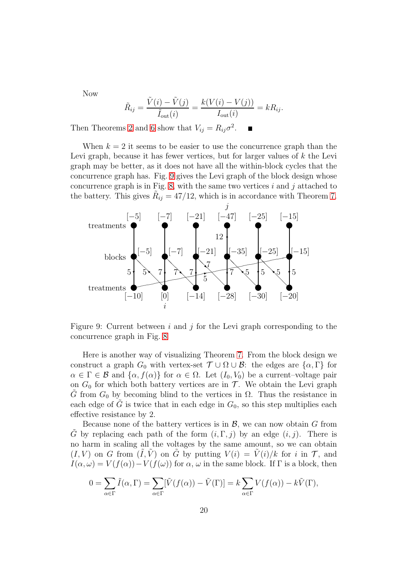Now

$$
\tilde{R}_{ij} = \frac{\tilde{V}(i) - \tilde{V}(j)}{\tilde{I}_{\text{out}}(i)} = \frac{k(V(i) - V(j))}{I_{\text{out}}(i)} = kR_{ij}.
$$

Then Theorems [2](#page-9-3) and [6](#page-16-0) show that  $V_{ij} = R_{ij} \sigma^2$ .

When  $k = 2$  it seems to be easier to use the concurrence graph than the Levi graph, because it has fewer vertices, but for larger values of  $k$  the Levi graph may be better, as it does not have all the within-block cycles that the concurrence graph has. Fig. [9](#page-19-0) gives the Levi graph of the block design whose concurrence graph is in Fig. [8,](#page-17-1) with the same two vertices  $i$  and  $j$  attached to the battery. This gives  $R_{ij} = 47/12$ , which is in accordance with Theorem [7.](#page-18-0)



<span id="page-19-0"></span>Figure 9: Current between i and j for the Levi graph corresponding to the concurrence graph in Fig. [8](#page-17-1)

Here is another way of visualizing Theorem [7.](#page-18-0) From the block design we construct a graph  $G_0$  with vertex-set  $\mathcal{T} \cup \Omega \cup \mathcal{B}$ : the edges are  $\{\alpha, \Gamma\}$  for  $\alpha \in \Gamma \in \mathcal{B}$  and  $\{\alpha, f(\alpha)\}\$ for  $\alpha \in \Omega$ . Let  $(I_0, V_0)$  be a current-voltage pair on  $G_0$  for which both battery vertices are in  $\mathcal T$ . We obtain the Levi graph G from  $G_0$  by becoming blind to the vertices in  $\Omega$ . Thus the resistance in each edge of G is twice that in each edge in  $G_0$ , so this step multiplies each effective resistance by 2.

Because none of the battery vertices is in  $\mathcal{B}$ , we can now obtain  $G$  from G by replacing each path of the form  $(i, \Gamma, j)$  by an edge  $(i, j)$ . There is no harm in scaling all the voltages by the same amount, so we can obtain  $(I, V)$  on G from  $(\tilde{I}, \tilde{V})$  on G by putting  $V(i) = V(i)/k$  for i in T, and  $I(\alpha,\omega) = V(f(\alpha)) - V(f(\omega))$  for  $\alpha, \omega$  in the same block. If  $\Gamma$  is a block, then

$$
0 = \sum_{\alpha \in \Gamma} \tilde{I}(\alpha, \Gamma) = \sum_{\alpha \in \Gamma} [\tilde{V}(f(\alpha)) - \tilde{V}(\Gamma)] = k \sum_{\alpha \in \Gamma} V(f(\alpha)) - k\tilde{V}(\Gamma),
$$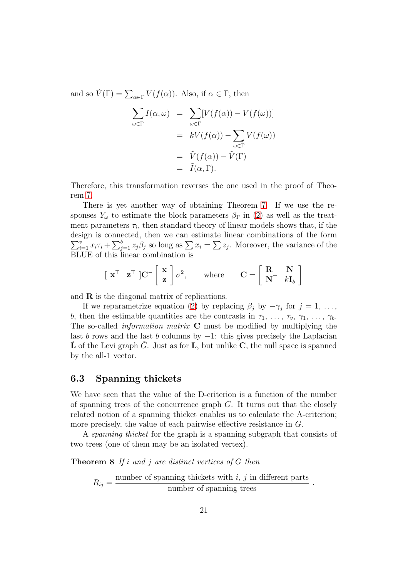and so  $\tilde{V}(\Gamma) = \sum_{\alpha \in \Gamma} V(f(\alpha))$ . Also, if  $\alpha \in \Gamma$ , then

$$
\sum_{\omega \in \Gamma} I(\alpha, \omega) = \sum_{\omega \in \Gamma} [V(f(\alpha)) - V(f(\omega))]
$$

$$
= kV(f(\alpha)) - \sum_{\omega \in \Gamma} V(f(\omega))
$$

$$
= \tilde{V}(f(\alpha)) - \tilde{V}(\Gamma)
$$

$$
= \tilde{I}(\alpha, \Gamma).
$$

Therefore, this transformation reverses the one used in the proof of Theorem [7.](#page-18-0)

There is yet another way of obtaining Theorem [7.](#page-18-0) If we use the responses  $Y_\omega$  to estimate the block parameters  $\beta_{\Gamma}$  in [\(2\)](#page-9-2) as well as the treatment parameters  $\tau_i$ , then standard theory of linear models shows that, if the  $\sum_{i=1}^{v} x_i \tau_i + \sum_{j=1}^{b} z_j \beta_j$  so long as  $\sum x_i = \sum z_j$ . Moreover, the variance of the design is connected, then we can estimate linear combinations of the form BLUE of this linear combination is

$$
\begin{bmatrix} \mathbf{x}^{\top} & \mathbf{z}^{\top} \end{bmatrix} \mathbf{C}^{-} \begin{bmatrix} \mathbf{x} \\ \mathbf{z} \end{bmatrix} \sigma^{2}
$$
, where  $\mathbf{C} = \begin{bmatrix} \mathbf{R} & \mathbf{N} \\ \mathbf{N}^{\top} & k \mathbf{I}_{b} \end{bmatrix}$ 

and R is the diagonal matrix of replications.

If we reparametrize equation [\(2\)](#page-9-2) by replacing  $\beta_j$  by  $-\gamma_j$  for  $j = 1, \ldots,$ b, then the estimable quantities are the contrasts in  $\tau_1, \ldots, \tau_v, \gamma_1, \ldots, \gamma_b$ . The so-called *information matrix*  $C$  must be modified by multiplying the last b rows and the last b columns by  $-1$ : this gives precisely the Laplacian L of the Levi graph G. Just as for L, but unlike C, the null space is spanned by the all-1 vector.

## <span id="page-20-0"></span>6.3 Spanning thickets

We have seen that the value of the D-criterion is a function of the number of spanning trees of the concurrence graph  $G$ . It turns out that the closely related notion of a spanning thicket enables us to calculate the A-criterion; more precisely, the value of each pairwise effective resistance in G.

<span id="page-20-1"></span>A spanning thicket for the graph is a spanning subgraph that consists of two trees (one of them may be an isolated vertex).

**Theorem 8** If i and j are distinct vertices of G then

 $R_{ij} =$ number of spanning thickets with  $i, j$  in different parts  $\frac{\text{magnates with } i, j \text{ in another part}}{\text{number of spanning trees}}$ .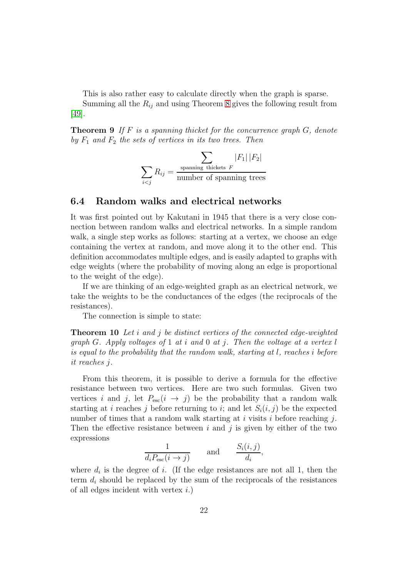This is also rather easy to calculate directly when the graph is sparse.

Summing all the  $R_{ij}$  and using Theorem [8](#page-20-1) gives the following result from [\[49\]](#page-41-6).

**Theorem 9** If  $F$  is a spanning thicket for the concurrence graph  $G$ , denote by  $F_1$  and  $F_2$  the sets of vertices in its two trees. Then

$$
\sum_{i < j} R_{ij} = \frac{\sum_{\text{spanning thickness } F} |F_1| |F_2|}{\text{number of spanning trees}}
$$

### <span id="page-21-0"></span>6.4 Random walks and electrical networks

It was first pointed out by Kakutani in 1945 that there is a very close connection between random walks and electrical networks. In a simple random walk, a single step works as follows: starting at a vertex, we choose an edge containing the vertex at random, and move along it to the other end. This definition accommodates multiple edges, and is easily adapted to graphs with edge weights (where the probability of moving along an edge is proportional to the weight of the edge).

If we are thinking of an edge-weighted graph as an electrical network, we take the weights to be the conductances of the edges (the reciprocals of the resistances).

The connection is simple to state:

**Theorem 10** Let i and j be distinct vertices of the connected edge-weighted graph G. Apply voltages of 1 at i and 0 at j. Then the voltage at a vertex  $l$ is equal to the probability that the random walk, starting at l, reaches i before it reaches j.

From this theorem, it is possible to derive a formula for the effective resistance between two vertices. Here are two such formulas. Given two vertices i and j, let  $P_{\rm esc}(i \rightarrow j)$  be the probability that a random walk starting at i reaches j before returning to i; and let  $S_i(i, j)$  be the expected number of times that a random walk starting at i visits i before reaching  $i$ . Then the effective resistance between i and j is given by either of the two expressions

$$
\frac{1}{d_i P_{\text{esc}}(i \to j)} \quad \text{and} \quad \frac{S_i(i,j)}{d_i},
$$

where  $d_i$  is the degree of i. (If the edge resistances are not all 1, then the term  $d_i$  should be replaced by the sum of the reciprocals of the resistances of all edges incident with vertex  $i.$ )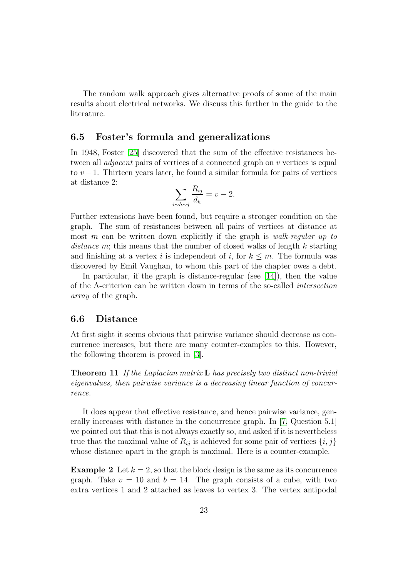The random walk approach gives alternative proofs of some of the main results about electrical networks. We discuss this further in the guide to the literature.

### <span id="page-22-0"></span>6.5 Foster's formula and generalizations

In 1948, Foster [\[25\]](#page-40-5) discovered that the sum of the effective resistances between all *adjacent* pairs of vertices of a connected graph on v vertices is equal to  $v-1$ . Thirteen years later, he found a similar formula for pairs of vertices at distance 2:

$$
\sum_{i \sim h \sim j} \frac{R_{ij}}{d_h} = v - 2.
$$

Further extensions have been found, but require a stronger condition on the graph. The sum of resistances between all pairs of vertices at distance at most m can be written down explicitly if the graph is *walk-regular up to* distance m; this means that the number of closed walks of length  $k$  starting and finishing at a vertex i is independent of i, for  $k \leq m$ . The formula was discovered by Emil Vaughan, to whom this part of the chapter owes a debt.

In particular, if the graph is distance-regular (see  $[14]$ ), then the value of the A-criterion can be written down in terms of the so-called intersection array of the graph.

### <span id="page-22-1"></span>6.6 Distance

At first sight it seems obvious that pairwise variance should decrease as concurrence increases, but there are many counter-examples to this. However, the following theorem is proved in [\[3\]](#page-38-3).

**Theorem 11** If the Laplacian matrix  $\bf{L}$  has precisely two distinct non-trivial eigenvalues, then pairwise variance is a decreasing linear function of concurrence.

It does appear that effective resistance, and hence pairwise variance, generally increases with distance in the concurrence graph. In [\[7,](#page-38-1) Question 5.1] we pointed out that this is not always exactly so, and asked if it is nevertheless true that the maximal value of  $R_{ij}$  is achieved for some pair of vertices  $\{i, j\}$ whose distance apart in the graph is maximal. Here is a counter-example.

**Example 2** Let  $k = 2$ , so that the block design is the same as its concurrence graph. Take  $v = 10$  and  $b = 14$ . The graph consists of a cube, with two extra vertices 1 and 2 attached as leaves to vertex 3. The vertex antipodal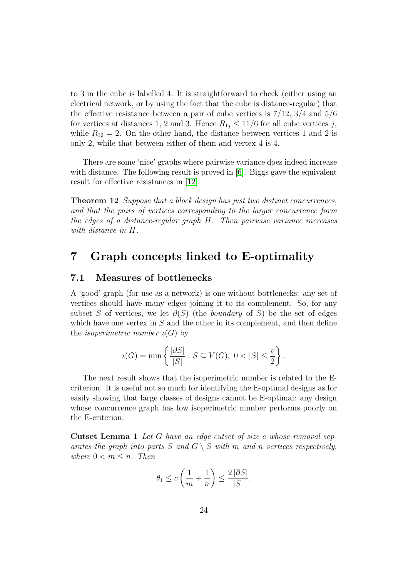to 3 in the cube is labelled 4. It is straightforward to check (either using an electrical network, or by using the fact that the cube is distance-regular) that the effective resistance between a pair of cube vertices is  $7/12$ ,  $3/4$  and  $5/6$ for vertices at distances 1, 2 and 3. Hence  $R_{1j} \leq 11/6$  for all cube vertices j, while  $R_{12} = 2$ . On the other hand, the distance between vertices 1 and 2 is only 2, while that between either of them and vertex 4 is 4.

There are some 'nice' graphs where pairwise variance does indeed increase with distance. The following result is proved in [\[6\]](#page-38-4). Biggs gave the equivalent result for effective resistances in [\[12\]](#page-38-5).

Theorem 12 Suppose that a block design has just two distinct concurrences, and that the pairs of vertices corresponding to the larger concurrence form the edges of a distance-regular graph H. Then pairwise variance increases with distance in H.

## <span id="page-23-1"></span><span id="page-23-0"></span>7 Graph concepts linked to E-optimality

## 7.1 Measures of bottlenecks

A 'good' graph (for use as a network) is one without bottlenecks: any set of vertices should have many edges joining it to its complement. So, for any subset S of vertices, we let  $\partial(S)$  (the *boundary* of S) be the set of edges which have one vertex in  $S$  and the other in its complement, and then define the *isoperimetric number*  $\iota(G)$  by

$$
\iota(G) = \min\left\{ \frac{|\partial S|}{|S|} : S \subseteq V(G), \ 0 < |S| \le \frac{v}{2} \right\}.
$$

The next result shows that the isoperimetric number is related to the Ecriterion. It is useful not so much for identifying the E-optimal designs as for easily showing that large classes of designs cannot be E-optimal: any design whose concurrence graph has low isoperimetric number performs poorly on the E-criterion.

Cutset Lemma 1 Let G have an edge-cutset of size c whose removal separates the graph into parts S and  $G \setminus S$  with m and n vertices respectively, where  $0 < m \leq n$ . Then

$$
\theta_1 \le c \left( \frac{1}{m} + \frac{1}{n} \right) \le \frac{2 |\partial S|}{|S|}.
$$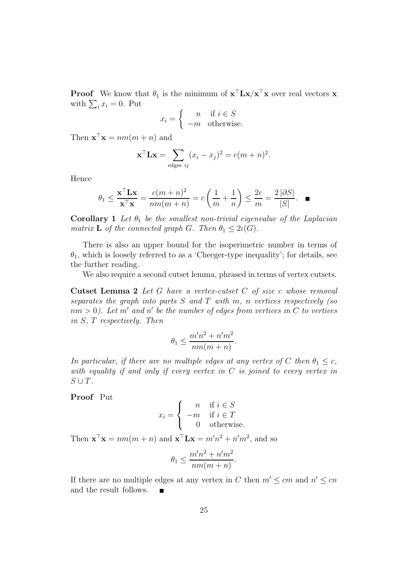**Proof** We know that  $\theta_1$  is the minimum of  $\mathbf{x}^\top \mathbf{L} \mathbf{x} / \mathbf{x}^\top \mathbf{x}$  over real vectors **x** with  $\sum_i x_i = 0$ . Put

$$
x_i = \begin{cases} n & \text{if } i \in S \\ -m & \text{otherwise.} \end{cases}
$$

Then  $\mathbf{x}^\top \mathbf{x} = nm(m+n)$  and

$$
\mathbf{x}^{\top} \mathbf{L} \mathbf{x} = \sum_{\text{edges } ij} (x_i - x_j)^2 = c(m+n)^2.
$$

Hence

$$
\theta_1 \le \frac{\mathbf{x}^\top \mathbf{L} \mathbf{x}}{\mathbf{x}^\top \mathbf{x}} = \frac{c(m+n)^2}{nm(m+n)} = c\left(\frac{1}{m} + \frac{1}{n}\right) \le \frac{2c}{m} = \frac{2|\partial S|}{|S|}. \quad \blacksquare
$$

**Corollary 1** Let  $\theta_1$  be the smallest non-trivial eigenvalue of the Laplacian matrix **L** of the connected graph G. Then  $\theta_1 \leq 2\iota(G)$ .

There is also an upper bound for the isoperimetric number in terms of  $\theta_1$ , which is loosely referred to as a 'Cheeger-type inequality'; for details, see the further reading.

We also require a second cutset lemma, phrased in terms of vertex cutsets.

Cutset Lemma 2 Let G have a vertex-cutset C of size c whose removal separates the graph into parts  $S$  and  $T$  with  $m$ ,  $n$  vertices respectively (so  $nm > 0$ ). Let m' and n' be the number of edges from vertices in C to vertices in S, T respectively. Then

$$
\theta_1 \le \frac{m'n^2 + n'm^2}{nm(m+n)}.
$$

In particular, if there are no multiple edges at any vertex of C then  $\theta_1 \leq c$ , with equality if and only if every vertex in  $C$  is joined to every vertex in  $S \cup T$ .

Proof Put

$$
x_i = \begin{cases} n & \text{if } i \in S \\ -m & \text{if } i \in T \\ 0 & \text{otherwise.} \end{cases}
$$

Then  $\mathbf{x}^\top \mathbf{x} = nm(m+n)$  and  $\mathbf{x}^\top \mathbf{L} \mathbf{x} = m'n^2 + n'm^2$ , and so

$$
\theta_1 \le \frac{m'n^2 + n'm^2}{nm(m+n)}.
$$

If there are no multiple edges at any vertex in C then  $m' \leq cm$  and  $n' \leq cn$ and the result follows.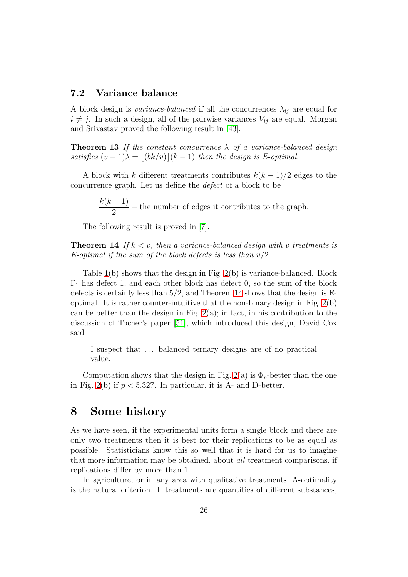### <span id="page-25-0"></span>7.2 Variance balance

A block design is variance-balanced if all the concurrences  $\lambda_{ij}$  are equal for  $i \neq j$ . In such a design, all of the pairwise variances  $V_{ij}$  are equal. Morgan and Srivastav proved the following result in [\[43\]](#page-41-7).

**Theorem 13** If the constant concurrence  $\lambda$  of a variance-balanced design satisfies  $(v-1)\lambda = \lfloor (bk/v) \rfloor (k-1)$  then the design is E-optimal.

A block with k different treatments contributes  $k(k-1)/2$  edges to the concurrence graph. Let us define the defect of a block to be

> $k(k-1)$  $\frac{1}{2}$  – the number of edges it contributes to the graph.

<span id="page-25-2"></span>The following result is proved in [\[7\]](#page-38-1).

**Theorem 14** If  $k < v$ , then a variance-balanced design with v treatments is E-optimal if the sum of the block defects is less than  $v/2$ .

Table [1\(](#page-6-2)b) shows that the design in Fig. [2\(](#page-3-1)b) is variance-balanced. Block  $\Gamma_1$  has defect 1, and each other block has defect 0, so the sum of the block defects is certainly less than 5/2, and Theorem [14](#page-25-2) shows that the design is Eoptimal. It is rather counter-intuitive that the non-binary design in Fig. [2\(](#page-3-1)b) can be better than the design in Fig.  $2(a)$ ; in fact, in his contribution to the discussion of Tocher's paper [\[51\]](#page-42-1), which introduced this design, David Cox said

I suspect that ... balanced ternary designs are of no practical value.

Computation shows that the design in Fig. [2\(](#page-3-1)a) is  $\Phi_p$ -better than the one in Fig. [2\(](#page-3-1)b) if  $p < 5.327$ . In particular, it is A- and D-better.

## <span id="page-25-1"></span>8 Some history

As we have seen, if the experimental units form a single block and there are only two treatments then it is best for their replications to be as equal as possible. Statisticians know this so well that it is hard for us to imagine that more information may be obtained, about all treatment comparisons, if replications differ by more than 1.

In agriculture, or in any area with qualitative treatments, A-optimality is the natural criterion. If treatments are quantities of different substances,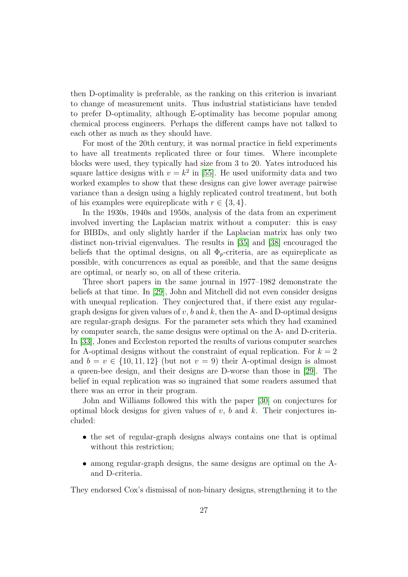then D-optimality is preferable, as the ranking on this criterion is invariant to change of measurement units. Thus industrial statisticians have tended to prefer D-optimality, although E-optimality has become popular among chemical process engineers. Perhaps the different camps have not talked to each other as much as they should have.

For most of the 20th century, it was normal practice in field experiments to have all treatments replicated three or four times. Where incomplete blocks were used, they typically had size from 3 to 20. Yates introduced his square lattice designs with  $v = k^2$  in [\[55\]](#page-42-2). He used uniformity data and two worked examples to show that these designs can give lower average pairwise variance than a design using a highly replicated control treatment, but both of his examples were equireplicate with  $r \in \{3, 4\}.$ 

In the 1930s, 1940s and 1950s, analysis of the data from an experiment involved inverting the Laplacian matrix without a computer: this is easy for BIBDs, and only slightly harder if the Laplacian matrix has only two distinct non-trivial eigenvalues. The results in [\[35\]](#page-40-1) and [\[38\]](#page-41-5) encouraged the beliefs that the optimal designs, on all  $\Phi_p$ -criteria, are as equireplicate as possible, with concurrences as equal as possible, and that the same designs are optimal, or nearly so, on all of these criteria.

Three short papers in the same journal in 1977–1982 demonstrate the beliefs at that time. In [\[29\]](#page-40-6), John and Mitchell did not even consider designs with unequal replication. They conjectured that, if there exist any regulargraph designs for given values of  $v, b$  and  $k$ , then the A- and D-optimal designs are regular-graph designs. For the parameter sets which they had examined by computer search, the same designs were optimal on the A- and D-criteria. In [\[33\]](#page-40-7), Jones and Eccleston reported the results of various computer searches for A-optimal designs without the constraint of equal replication. For  $k = 2$ and  $b = v \in \{10, 11, 12\}$  (but not  $v = 9$ ) their A-optimal design is almost a queen-bee design, and their designs are D-worse than those in [\[29\]](#page-40-6). The belief in equal replication was so ingrained that some readers assumed that there was an error in their program.

John and Williams followed this with the paper [\[30\]](#page-40-8) on conjectures for optimal block designs for given values of  $v$ ,  $b$  and  $k$ . Their conjectures included:

- the set of regular-graph designs always contains one that is optimal without this restriction;
- among regular-graph designs, the same designs are optimal on the Aand D-criteria.

They endorsed Cox's dismissal of non-binary designs, strengthening it to the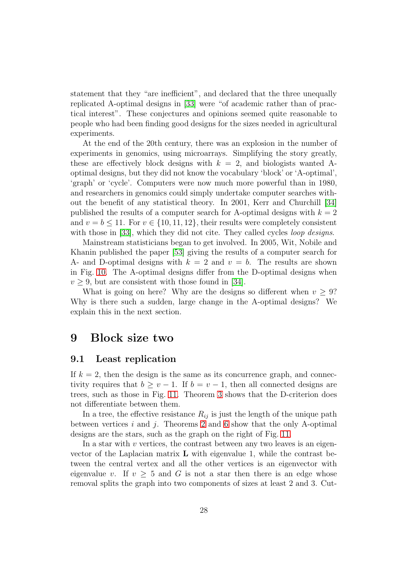statement that they "are inefficient", and declared that the three unequally replicated A-optimal designs in [\[33\]](#page-40-7) were "of academic rather than of practical interest". These conjectures and opinions seemed quite reasonable to people who had been finding good designs for the sizes needed in agricultural experiments.

At the end of the 20th century, there was an explosion in the number of experiments in genomics, using microarrays. Simplifying the story greatly, these are effectively block designs with  $k = 2$ , and biologists wanted Aoptimal designs, but they did not know the vocabulary 'block' or 'A-optimal', 'graph' or 'cycle'. Computers were now much more powerful than in 1980, and researchers in genomics could simply undertake computer searches without the benefit of any statistical theory. In 2001, Kerr and Churchill [\[34\]](#page-40-9) published the results of a computer search for A-optimal designs with  $k = 2$ and  $v = b \le 11$ . For  $v \in \{10, 11, 12\}$ , their results were completely consistent with those in [\[33\]](#page-40-7), which they did not cite. They called cycles *loop designs*.

Mainstream statisticians began to get involved. In 2005, Wit, Nobile and Khanin published the paper [\[53\]](#page-42-3) giving the results of a computer search for A- and D-optimal designs with  $k = 2$  and  $v = b$ . The results are shown in Fig. [10.](#page-28-0) The A-optimal designs differ from the D-optimal designs when  $v > 9$ , but are consistent with those found in [\[34\]](#page-40-9).

What is going on here? Why are the designs so different when  $v \geq 9$ ? Why is there such a sudden, large change in the A-optimal designs? We explain this in the next section.

## <span id="page-27-1"></span><span id="page-27-0"></span>9 Block size two

#### 9.1 Least replication

If  $k = 2$ , then the design is the same as its concurrence graph, and connectivity requires that  $b \ge v - 1$ . If  $b = v - 1$ , then all connected designs are trees, such as those in Fig. [11.](#page-28-1) Theorem [3](#page-14-2) shows that the D-criterion does not differentiate between them.

In a tree, the effective resistance  $R_{ij}$  is just the length of the unique path between vertices i and j. Theorems [2](#page-9-3) and [6](#page-16-0) show that the only A-optimal designs are the stars, such as the graph on the right of Fig. [11.](#page-28-1)

In a star with  $v$  vertices, the contrast between any two leaves is an eigenvector of the Laplacian matrix  $\bf{L}$  with eigenvalue 1, while the contrast between the central vertex and all the other vertices is an eigenvector with eigenvalue v. If  $v \geq 5$  and G is not a star then there is an edge whose removal splits the graph into two components of sizes at least 2 and 3. Cut-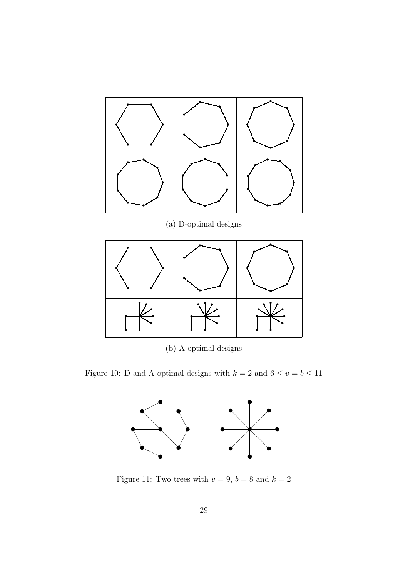

(b) A-optimal designs

Figure 10: D-and A-optimal designs with  $k=2$  and  $6\leq v=b\leq 11$ 

<span id="page-28-0"></span>

<span id="page-28-1"></span>Figure 11: Two trees with  $v=9,\,b=8$  and  $k=2$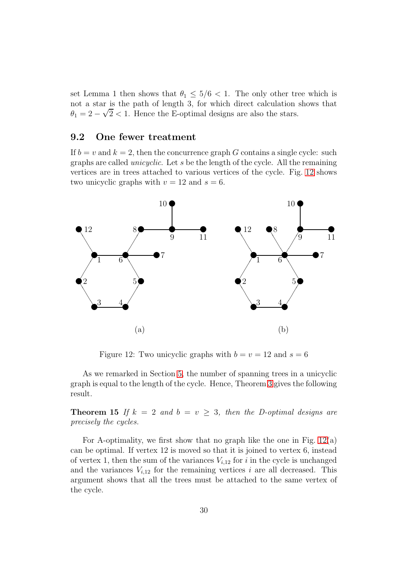set Lemma 1 then shows that  $\theta_1 \leq 5/6 < 1$ . The only other tree which is not a star is the path of length 3, for which direct calculation shows that  $\theta_1 = 2 - \sqrt{2} < 1$ . Hence the E-optimal designs are also the stars.

## <span id="page-29-0"></span>9.2 One fewer treatment

If  $b = v$  and  $k = 2$ , then the concurrence graph G contains a single cycle: such graphs are called unicyclic. Let s be the length of the cycle. All the remaining vertices are in trees attached to various vertices of the cycle. Fig. [12](#page-29-1) shows two unicyclic graphs with  $v = 12$  and  $s = 6$ .



<span id="page-29-1"></span>Figure 12: Two unicyclic graphs with  $b = v = 12$  and  $s = 6$ 

As we remarked in Section [5,](#page-14-0) the number of spanning trees in a unicyclic graph is equal to the length of the cycle. Hence, Theorem [3](#page-14-2) gives the following result.

**Theorem 15** If  $k = 2$  and  $b = v \geq 3$ , then the D-optimal designs are precisely the cycles.

For A-optimality, we first show that no graph like the one in Fig.  $12(a)$ can be optimal. If vertex 12 is moved so that it is joined to vertex 6, instead of vertex 1, then the sum of the variances  $V_{i,12}$  for i in the cycle is unchanged and the variances  $V_{i,12}$  for the remaining vertices i are all decreased. This argument shows that all the trees must be attached to the same vertex of the cycle.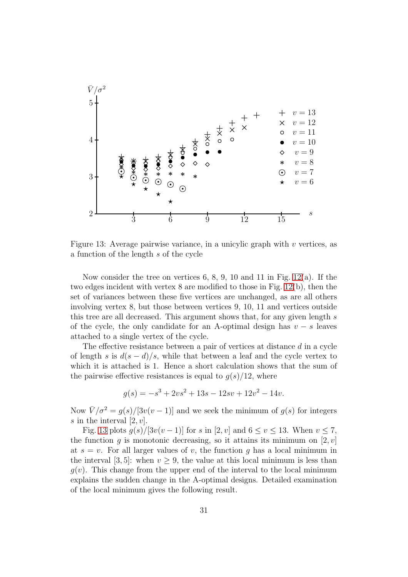

<span id="page-30-0"></span>Figure 13: Average pairwise variance, in a unicylic graph with  $v$  vertices, as a function of the length s of the cycle

Now consider the tree on vertices 6, 8, 9, 10 and 11 in Fig.  $12(a)$ . If the two edges incident with vertex 8 are modified to those in Fig. [12\(](#page-29-1)b), then the set of variances between these five vertices are unchanged, as are all others involving vertex 8, but those between vertices 9, 10, 11 and vertices outside this tree are all decreased. This argument shows that, for any given length s of the cycle, the only candidate for an A-optimal design has  $v - s$  leaves attached to a single vertex of the cycle.

The effective resistance between a pair of vertices at distance d in a cycle of length s is  $d(s - d)/s$ , while that between a leaf and the cycle vertex to which it is attached is 1. Hence a short calculation shows that the sum of the pairwise effective resistances is equal to  $g(s)/12$ , where

$$
g(s) = -s^3 + 2vs^2 + 13s - 12sv + 12v^2 - 14v.
$$

Now  $\bar{V}/\sigma^2 = q(s)/[3v(v-1)]$  and we seek the minimum of  $q(s)$  for integers s in the interval  $[2, v]$ .

<span id="page-30-1"></span>Fig. [13](#page-30-0) plots  $q(s)/[3v(v-1)]$  for s in [2, v] and  $6 \le v \le 13$ . When  $v \le 7$ , the function q is monotonic decreasing, so it attains its minimum on [2, v] at  $s = v$ . For all larger values of v, the function g has a local minimum in the interval [3, 5]: when  $v \geq 9$ , the value at this local minimum is less than  $g(v)$ . This change from the upper end of the interval to the local minimum explains the sudden change in the A-optimal designs. Detailed examination of the local minimum gives the following result.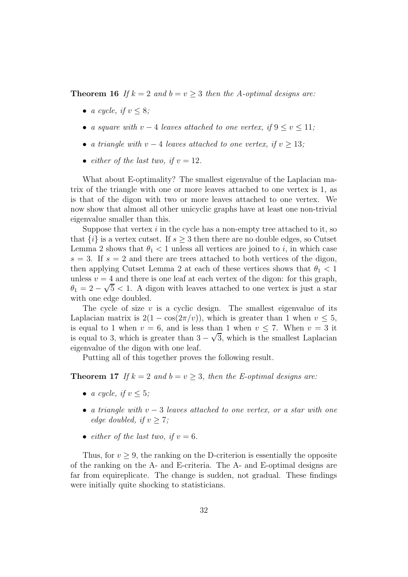**Theorem 16** If  $k = 2$  and  $b = v > 3$  then the A-optimal designs are:

- a cycle, if  $v \leq 8$ ;
- a square with  $v-4$  leaves attached to one vertex, if  $9 \le v \le 11$ ;
- a triangle with  $v 4$  leaves attached to one vertex, if  $v \geq 13$ ;
- either of the last two, if  $v = 12$ .

What about E-optimality? The smallest eigenvalue of the Laplacian matrix of the triangle with one or more leaves attached to one vertex is 1, as is that of the digon with two or more leaves attached to one vertex. We now show that almost all other unicyclic graphs have at least one non-trivial eigenvalue smaller than this.

Suppose that vertex  $i$  in the cycle has a non-empty tree attached to it, so that  $\{i\}$  is a vertex cutset. If  $s \geq 3$  then there are no double edges, so Cutset Lemma 2 shows that  $\theta_1 < 1$  unless all vertices are joined to i, in which case  $s = 3$ . If  $s = 2$  and there are trees attached to both vertices of the digon, then applying Cutset Lemma 2 at each of these vertices shows that  $\theta_1 < 1$ unless  $v = 4$  and there is one leaf at each vertex of the digon: for this graph,  $\theta_1 = 2 - \sqrt{5} < 1$ . A digon with leaves attached to one vertex is just a star with one edge doubled.

The cycle of size  $v$  is a cyclic design. The smallest eigenvalue of its Laplacian matrix is  $2(1 - \cos(2\pi/v))$ , which is greater than 1 when  $v \le 5$ , is equal to 1 when  $v = 6$ , and is less than 1 when  $v \le 7$ . When  $v = 3$  it is equal to 3, which is greater than  $3 - \sqrt{3}$ , which is the smallest Laplacian eigenvalue of the digon with one leaf.

<span id="page-31-0"></span>Putting all of this together proves the following result.

**Theorem 17** If  $k = 2$  and  $b = v \geq 3$ , then the E-optimal designs are:

- a cycle, if  $v \leq 5$ ;
- a triangle with  $v 3$  leaves attached to one vertex, or a star with one edge doubled, if  $v \geq 7$ ;
- either of the last two, if  $v = 6$ .

Thus, for  $v > 9$ , the ranking on the D-criterion is essentially the opposite of the ranking on the A- and E-criteria. The A- and E-optimal designs are far from equireplicate. The change is sudden, not gradual. These findings were initially quite shocking to statisticians.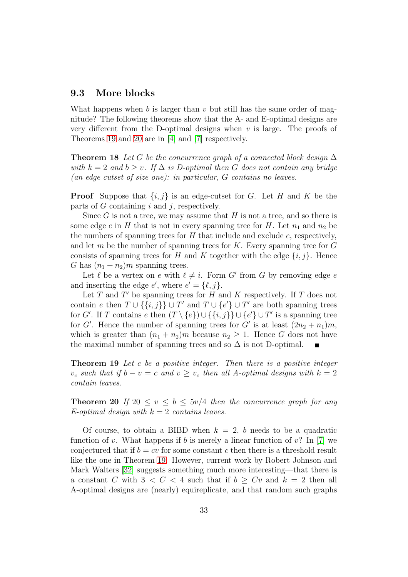### <span id="page-32-0"></span>9.3 More blocks

What happens when b is larger than  $v$  but still has the same order of magnitude? The following theorems show that the A- and E-optimal designs are very different from the D-optimal designs when  $v$  is large. The proofs of Theorems [19](#page-32-1) and [20](#page-32-2) are in [\[4\]](#page-38-2) and [\[7\]](#page-38-1) respectively.

**Theorem 18** Let G be the concurrence graph of a connected block design  $\Delta$ with  $k = 2$  and  $b > v$ . If  $\Delta$  is D-optimal then G does not contain any bridge (an edge cutset of size one): in particular, G contains no leaves.

**Proof** Suppose that  $\{i, j\}$  is an edge-cutset for G. Let H and K be the parts of  $G$  containing  $i$  and  $j$ , respectively.

Since  $G$  is not a tree, we may assume that  $H$  is not a tree, and so there is some edge e in H that is not in every spanning tree for H. Let  $n_1$  and  $n_2$  be the numbers of spanning trees for  $H$  that include and exclude  $e$ , respectively, and let  $m$  be the number of spanning trees for  $K$ . Every spanning tree for  $G$ consists of spanning trees for H and K together with the edge  $\{i, j\}$ . Hence G has  $(n_1 + n_2)m$  spanning trees.

Let  $\ell$  be a vertex on  $e$  with  $\ell \neq i$ . Form  $G'$  from  $G$  by removing edge  $e$ and inserting the edge  $e'$ , where  $e' = \{\ell, j\}.$ 

Let  $T$  and  $T'$  be spanning trees for  $H$  and  $K$  respectively. If  $T$  does not contain e then  $T \cup \{\{i, j\}\} \cup T'$  and  $T \cup \{e'\} \cup T'$  are both spanning trees for G'. If T contains e then  $(T \setminus \{e\}) \cup \{\{i,j\}\} \cup \{e'\} \cup T'$  is a spanning tree for G'. Hence the number of spanning trees for G' is at least  $(2n_2 + n_1)m$ , which is greater than  $(n_1 + n_2)m$  because  $n_2 \geq 1$ . Hence G does not have the maximal number of spanning trees and so  $\Delta$  is not D-optimal.

<span id="page-32-1"></span>**Theorem 19** Let c be a positive integer. Then there is a positive integer  $v_c$  such that if  $b - v = c$  and  $v \ge v_c$  then all A-optimal designs with  $k = 2$ contain leaves.

<span id="page-32-2"></span>**Theorem 20** If  $20 \le v \le b \le 5v/4$  then the concurrence graph for any E-optimal design with  $k = 2$  contains leaves.

Of course, to obtain a BIBD when  $k = 2$ , b needs to be a quadratic function of v. What happens if b is merely a linear function of v? In [\[7\]](#page-38-1) we conjectured that if  $b = cv$  for some constant c then there is a threshold result like the one in Theorem [19.](#page-32-1) However, current work by Robert Johnson and Mark Walters [\[32\]](#page-40-10) suggests something much more interesting—that there is a constant C with  $3 < C < 4$  such that if  $b > Cv$  and  $k = 2$  then all A-optimal designs are (nearly) equireplicate, and that random such graphs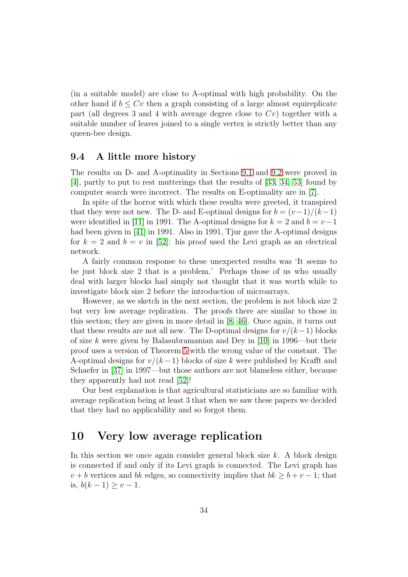(in a suitable model) are close to A-optimal with high probability. On the other hand if  $b \leq Cv$  then a graph consisting of a large almost equireplicate part (all degrees 3 and 4 with average degree close to  $Cv$ ) together with a suitable number of leaves joined to a single vertex is strictly better than any queen-bee design.

### <span id="page-33-0"></span>9.4 A little more history

The results on D- and A-optimality in Sections [9.1](#page-27-1) and [9.2](#page-29-0) were proved in [\[4\]](#page-38-2), partly to put to rest mutterings that the results of [\[33,](#page-40-7) [34,](#page-40-9) [53\]](#page-42-3) found by computer search were incorrect. The results on E-optimality are in [\[7\]](#page-38-1).

In spite of the horror with which these results were greeted, it transpired that they were not new. The D- and E-optimal designs for  $b = (v-1)/(k-1)$ were identified in [\[11\]](#page-38-6) in 1991. The A-optimal designs for  $k = 2$  and  $b = v-1$ had been given in [\[41\]](#page-41-8) in 1991. Also in 1991, Tjur gave the A-optimal designs for  $k = 2$  and  $b = v$  in [\[52\]](#page-42-4): his proof used the Levi graph as an electrical network.

A fairly common response to these unexpected results was 'It seems to be just block size 2 that is a problem.' Perhaps those of us who usually deal with larger blocks had simply not thought that it was worth while to investigate block size 2 before the introduction of microarrays.

However, as we sketch in the next section, the problem is not block size 2 but very low average replication. The proofs there are similar to those in this section; they are given in more detail in [\[8,](#page-38-7) [46\]](#page-41-9). Once again, it turns out that these results are not all new. The D-optimal designs for  $v/(k-1)$  blocks of size k were given by Balasubramanian and Dey in [\[10\]](#page-38-8) in 1996—but their proof uses a version of Theorem [5](#page-15-3) with the wrong value of the constant. The A-optimal designs for  $v/(k-1)$  blocks of size k were published by Krafft and Schaefer in [\[37\]](#page-40-11) in 1997—but those authors are not blameless either, because they apparently had not read [\[52\]](#page-42-4)!

Our best explanation is that agricultural statisticians are so familiar with average replication being at least 3 that when we saw these papers we decided that they had no applicability and so forgot them.

## <span id="page-33-1"></span>10 Very low average replication

In this section we once again consider general block size  $k$ . A block design is connected if and only if its Levi graph is connected. The Levi graph has  $v + b$  vertices and bk edges, so connectivity implies that  $bk \geq b + v - 1$ ; that is,  $b(k − 1) \ge v − 1$ .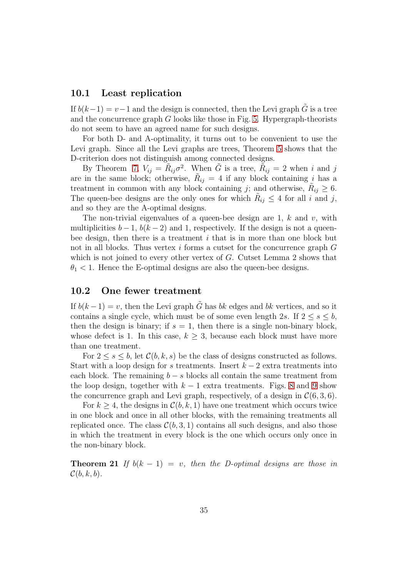## <span id="page-34-0"></span>10.1 Least replication

If  $b(k-1) = v-1$  and the design is connected, then the Levi graph  $\tilde{G}$  is a tree and the concurrence graph  $G$  looks like those in Fig. [5.](#page-6-0) Hypergraph-theorists do not seem to have an agreed name for such designs.

For both D- and A-optimality, it turns out to be convenient to use the Levi graph. Since all the Levi graphs are trees, Theorem [5](#page-15-3) shows that the D-criterion does not distinguish among connected designs.

By Theorem [7,](#page-18-0)  $V_{ij} = \tilde{R}_{ij}\sigma^2$ . When  $\tilde{G}$  is a tree,  $\tilde{R}_{ij} = 2$  when i and j are in the same block; otherwise,  $R_{ij} = 4$  if any block containing i has a treatment in common with any block containing j; and otherwise,  $\tilde{R}_{ij} \geq 6$ . The queen-bee designs are the only ones for which  $R_{ij} \leq 4$  for all i and j, and so they are the A-optimal designs.

The non-trivial eigenvalues of a queen-bee design are 1,  $k$  and  $v$ , with multiplicities  $b-1$ ,  $b(k-2)$  and 1, respectively. If the design is not a queenbee design, then there is a treatment  $i$  that is in more than one block but not in all blocks. Thus vertex i forms a cutset for the concurrence graph  $G$ which is not joined to every other vertex of  $G$ . Cutset Lemma 2 shows that  $\theta_1$  < 1. Hence the E-optimal designs are also the queen-bee designs.

### <span id="page-34-1"></span>10.2 One fewer treatment

If  $b(k-1) = v$ , then the Levi graph  $\tilde{G}$  has bk edges and bk vertices, and so it contains a single cycle, which must be of some even length 2s. If  $2 \leq s \leq b$ , then the design is binary; if  $s = 1$ , then there is a single non-binary block, whose defect is 1. In this case,  $k \geq 3$ , because each block must have more than one treatment.

For  $2 \leq s \leq b$ , let  $\mathcal{C}(b, k, s)$  be the class of designs constructed as follows. Start with a loop design for s treatments. Insert  $k-2$  extra treatments into each block. The remaining  $b - s$  blocks all contain the same treatment from the loop design, together with  $k-1$  extra treatments. Figs. [8](#page-17-1) and [9](#page-19-0) show the concurrence graph and Levi graph, respectively, of a design in  $\mathcal{C}(6, 3, 6)$ .

For  $k \geq 4$ , the designs in  $\mathcal{C}(b, k, 1)$  have one treatment which occurs twice in one block and once in all other blocks, with the remaining treatments all replicated once. The class  $\mathcal{C}(b, 3, 1)$  contains all such designs, and also those in which the treatment in every block is the one which occurs only once in the non-binary block.

**Theorem 21** If  $b(k - 1) = v$ , then the D-optimal designs are those in  $\mathcal{C}(b, k, b)$ .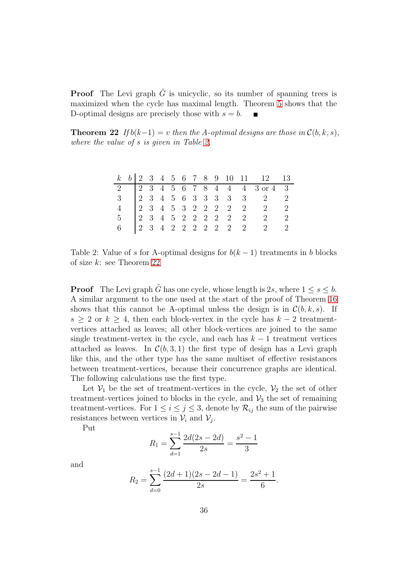**Proof** The Levi graph  $\tilde{G}$  is unicyclic, so its number of spanning trees is maximized when the cycle has maximal length. Theorem [5](#page-15-3) shows that the D-optimal designs are precisely those with  $s = b$ .

<span id="page-35-1"></span>**Theorem 22** If  $b(k-1) = v$  then the A-optimal designs are those in  $\mathcal{C}(b, k, s)$ , where the value of s is given in Table [2.](#page-35-0)

|                |  |  |  |  |  | $k \quad b \mid 2 \quad 3 \quad 4 \quad 5 \quad 6 \quad 7 \quad 8 \quad 9 \quad 10 \quad 11 \qquad 12 \qquad 13$ |  |
|----------------|--|--|--|--|--|------------------------------------------------------------------------------------------------------------------|--|
|                |  |  |  |  |  | 2 2 3 4 5 6 7 8 4 4 4 3 or 4 3                                                                                   |  |
|                |  |  |  |  |  | $3 \t 2 \t 3 \t 4 \t 5 \t 6 \t 3 \t 3 \t 3 \t 3 \t 3 \t 2 \t 2$                                                  |  |
|                |  |  |  |  |  | 4 2 3 4 5 3 2 2 2 2 2 2 2 2                                                                                      |  |
| 5 <sup>5</sup> |  |  |  |  |  | 2 3 4 5 2 2 2 2 2 2 2 2 2                                                                                        |  |
| 6              |  |  |  |  |  | 2 3 4 2 2 2 2 2 2 2 2 2 2                                                                                        |  |

<span id="page-35-0"></span>Table 2: Value of s for A-optimal designs for  $b(k-1)$  treatments in b blocks of size k: see Theorem [22](#page-35-1)

**Proof** The Levi graph  $\tilde{G}$  has one cycle, whose length is 2s, where  $1 \leq s \leq b$ . A similar argument to the one used at the start of the proof of Theorem [16](#page-30-1) shows that this cannot be A-optimal unless the design is in  $\mathcal{C}(b, k, s)$ . If  $s \geq 2$  or  $k \geq 4$ , then each block-vertex in the cycle has  $k-2$  treatmentvertices attached as leaves; all other block-vertices are joined to the same single treatment-vertex in the cycle, and each has  $k - 1$  treatment vertices attached as leaves. In  $\mathcal{C}(b, 3, 1)$  the first type of design has a Levi graph like this, and the other type has the same multiset of effective resistances between treatment-vertices, because their concurrence graphs are identical. The following calculations use the first type.

Let  $V_1$  be the set of treatment-vertices in the cycle,  $V_2$  the set of other treatment-vertices joined to blocks in the cycle, and  $\mathcal{V}_3$  the set of remaining treatment-vertices. For  $1 \leq i \leq j \leq 3$ , denote by  $\mathcal{R}_{ij}$  the sum of the pairwise resistances between vertices in  $V_i$  and  $V_j$ .

Put

$$
R_1 = \sum_{d=1}^{s-1} \frac{2d(2s - 2d)}{2s} = \frac{s^2 - 1}{3}
$$

and

$$
R_2 = \sum_{d=0}^{s-1} \frac{(2d+1)(2s-2d-1)}{2s} = \frac{2s^2+1}{6}.
$$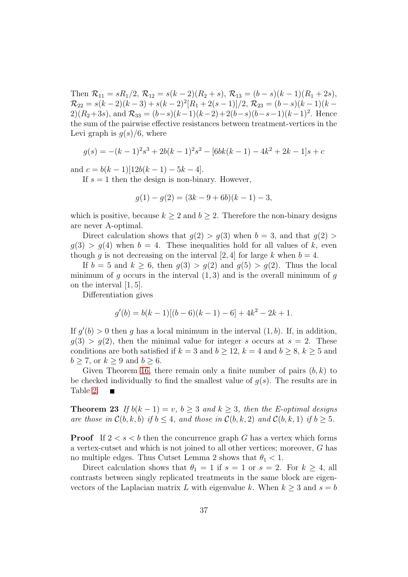Then  $\mathcal{R}_{11} = sR_1/2$ ,  $\mathcal{R}_{12} = s(k-2)(R_2 + s)$ ,  $\mathcal{R}_{13} = (b-s)(k-1)(R_1 + 2s)$ ,  $\mathcal{R}_{22} = s(k-2)(k-3) + s(k-2)^2[R_1+2(s-1)]/2, \mathcal{R}_{23} = (b-s)(k-1)(k-1)$ 2) $(R_2+3s)$ , and  $\mathcal{R}_{33} = (b-s)(k-1)(k-2) + 2(b-s)(b-s-1)(k-1)^2$ . Hence the sum of the pairwise effective resistances between treatment-vertices in the Levi graph is  $g(s)/6$ , where

$$
g(s) = -(k-1)^2 s^3 + 2b(k-1)^2 s^2 - [6bk(k-1) - 4k^2 + 2k - 1]s + c
$$

and  $c = b(k-1)[12b(k-1) - 5k - 4].$ 

If  $s = 1$  then the design is non-binary. However,

$$
g(1) - g(2) = (3k - 9 + 6b)(k - 1) - 3,
$$

which is positive, because  $k \geq 2$  and  $b \geq 2$ . Therefore the non-binary designs are never A-optimal.

Direct calculation shows that  $g(2) > g(3)$  when  $b = 3$ , and that  $g(2) >$  $g(3) > g(4)$  when  $b = 4$ . These inequalities hold for all values of k, even though g is not decreasing on the interval [2, 4] for large k when  $b = 4$ .

If  $b = 5$  and  $k \geq 6$ , then  $g(3) > g(2)$  and  $g(5) > g(2)$ . Thus the local minimum of g occurs in the interval  $(1, 3)$  and is the overall minimum of g on the interval [1, 5].

Differentiation gives

$$
g'(b) = b(k-1)[(b-6)(k-1) - 6] + 4k^2 - 2k + 1.
$$

If  $g'(b) > 0$  then g has a local minimum in the interval  $(1, b)$ . If, in addition,  $q(3) > q(2)$ , then the minimal value for integer s occurs at  $s = 2$ . These conditions are both satisfied if  $k = 3$  and  $b \ge 12$ ,  $k = 4$  and  $b \ge 8$ ,  $k \ge 5$  and  $b \geq 7$ , or  $k \geq 9$  and  $b \geq 6$ .

Given Theorem [16,](#page-30-1) there remain only a finite number of pairs  $(b, k)$  to be checked individually to find the smallest value of  $q(s)$ . The results are in Table [2.](#page-35-0)

**Theorem 23** If  $b(k-1) = v$ ,  $b \ge 3$  and  $k \ge 3$ , then the E-optimal designs are those in  $C(b, k, b)$  if  $b \leq 4$ , and those in  $C(b, k, 2)$  and  $C(b, k, 1)$  if  $b \geq 5$ .

**Proof** If  $2 < s < b$  then the concurrence graph G has a vertex which forms a vertex-cutset and which is not joined to all other vertices; moreover, G has no multiple edges. Thus Cutset Lemma 2 shows that  $\theta_1 < 1$ .

Direct calculation shows that  $\theta_1 = 1$  if  $s = 1$  or  $s = 2$ . For  $k \geq 4$ , all contrasts between singly replicated treatments in the same block are eigenvectors of the Laplacian matrix L with eigenvalue k. When  $k \geq 3$  and  $s = b$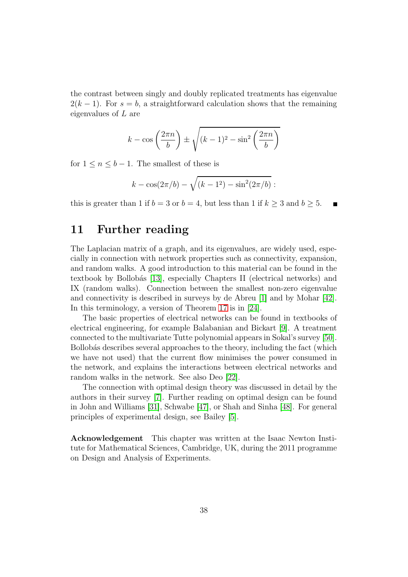the contrast between singly and doubly replicated treatments has eigenvalue  $2(k-1)$ . For  $s = b$ , a straightforward calculation shows that the remaining eigenvalues of L are

$$
k - \cos\left(\frac{2\pi n}{b}\right) \pm \sqrt{(k-1)^2 - \sin^2\left(\frac{2\pi n}{b}\right)}
$$

for  $1 \leq n \leq b-1$ . The smallest of these is

$$
k - \cos(2\pi/b) - \sqrt{(k-1^2) - \sin^2(2\pi/b)} :
$$

<span id="page-37-0"></span>this is greater than 1 if  $b = 3$  or  $b = 4$ , but less than 1 if  $k \ge 3$  and  $b \ge 5$ .

## 11 Further reading

The Laplacian matrix of a graph, and its eigenvalues, are widely used, especially in connection with network properties such as connectivity, expansion, and random walks. A good introduction to this material can be found in the textbook by Bollob´as [\[13\]](#page-39-7), especially Chapters II (electrical networks) and IX (random walks). Connection between the smallest non-zero eigenvalue and connectivity is described in surveys by de Abreu [\[1\]](#page-38-9) and by Mohar [\[42\]](#page-41-10). In this terminology, a version of Theorem [17](#page-31-0) is in [\[24\]](#page-39-8).

The basic properties of electrical networks can be found in textbooks of electrical engineering, for example Balabanian and Bickart [\[9\]](#page-38-10). A treatment connected to the multivariate Tutte polynomial appears in Sokal's survey [\[50\]](#page-41-11). Bollobás describes several approaches to the theory, including the fact (which we have not used) that the current flow minimises the power consumed in the network, and explains the interactions between electrical networks and random walks in the network. See also Deo [\[22\]](#page-39-9).

The connection with optimal design theory was discussed in detail by the authors in their survey [\[7\]](#page-38-1). Further reading on optimal design can be found in John and Williams [\[31\]](#page-40-12), Schwabe [\[47\]](#page-41-12), or Shah and Sinha [\[48\]](#page-41-3). For general principles of experimental design, see Bailey [\[5\]](#page-38-0).

Acknowledgement This chapter was written at the Isaac Newton Institute for Mathematical Sciences, Cambridge, UK, during the 2011 programme on Design and Analysis of Experiments.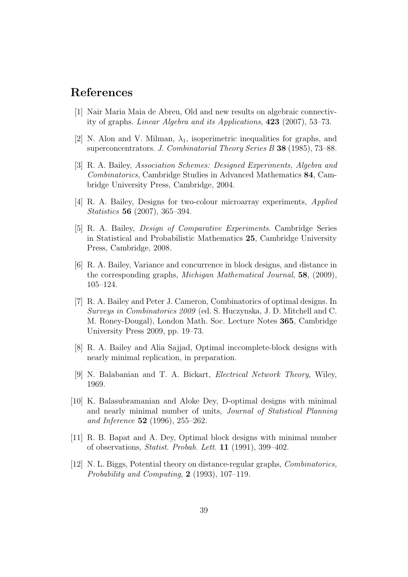## <span id="page-38-9"></span>References

- [1] Nair Maria Maia de Abreu, Old and new results on algebraic connectivity of graphs. Linear Algebra and its Applications, 423 (2007), 53–73.
- <span id="page-38-3"></span>[2] N. Alon and V. Milman,  $\lambda_1$ , isoperimetric inequalities for graphs, and superconcentrators. J. Combinatorial Theory Series B 38 (1985), 73–88.
- [3] R. A. Bailey, Association Schemes: Designed Experiments, Algebra and Combinatorics, Cambridge Studies in Advanced Mathematics 84, Cambridge University Press, Cambridge, 2004.
- <span id="page-38-2"></span><span id="page-38-0"></span>[4] R. A. Bailey, Designs for two-colour microarray experiments, Applied Statistics 56 (2007), 365–394.
- [5] R. A. Bailey, Design of Comparative Experiments. Cambridge Series in Statistical and Probabilistic Mathematics 25, Cambridge University Press, Cambridge, 2008.
- <span id="page-38-4"></span>[6] R. A. Bailey, Variance and concurrence in block designs, and distance in the corresponding graphs, Michigan Mathematical Journal, 58, (2009), 105–124.
- <span id="page-38-1"></span>[7] R. A. Bailey and Peter J. Cameron, Combinatorics of optimal designs. In Surveys in Combinatorics 2009 (ed. S. Huczynska, J. D. Mitchell and C. M. Roney-Dougal), London Math. Soc. Lecture Notes 365, Cambridge University Press 2009, pp. 19–73.
- <span id="page-38-10"></span><span id="page-38-7"></span>[8] R. A. Bailey and Alia Sajjad, Optimal inccomplete-block designs with nearly minimal replication, in preparation.
- <span id="page-38-8"></span>[9] N. Balabanian and T. A. Bickart, Electrical Network Theory, Wiley, 1969.
- [10] K. Balasubramanian and Aloke Dey, D-optimal designs with minimal and nearly minimal number of units, Journal of Statistical Planning and Inference 52 (1996), 255–262.
- <span id="page-38-6"></span>[11] R. B. Bapat and A. Dey, Optimal block designs with minimal number of observations, Statist. Probab. Lett. 11 (1991), 399–402.
- <span id="page-38-5"></span>[12] N. L. Biggs, Potential theory on distance-regular graphs, Combinatorics, Probability and Computing, 2 (1993), 107–119.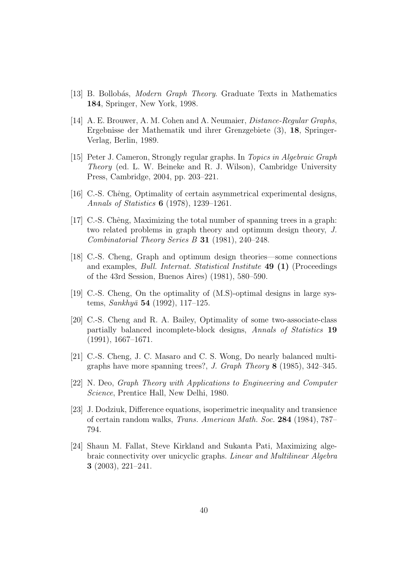- <span id="page-39-7"></span><span id="page-39-6"></span>[13] B. Bollobás, *Modern Graph Theory*. Graduate Texts in Mathematics 184, Springer, New York, 1998.
- [14] A. E. Brouwer, A. M. Cohen and A. Neumaier, Distance-Regular Graphs, Ergebnisse der Mathematik und ihrer Grenzgebiete (3), 18, Springer-Verlag, Berlin, 1989.
- <span id="page-39-3"></span>[15] Peter J. Cameron, Strongly regular graphs. In Topics in Algebraic Graph Theory (ed. L. W. Beineke and R. J. Wilson), Cambridge University Press, Cambridge, 2004, pp. 203–221.
- <span id="page-39-1"></span><span id="page-39-0"></span>[16] C.-S. Chêng, Optimality of certain asymmetrical experimental designs, Annals of Statistics 6 (1978), 1239–1261.
- [17] C.-S. Chêng, Maximizing the total number of spanning trees in a graph: two related problems in graph theory and optimum design theory, J. Combinatorial Theory Series B 31 (1981), 240–248.
- [18] C.-S. Cheng, Graph and optimum design theories—some connections and examples, Bull. Internat. Statistical Institute 49 (1) (Proceedings of the 43rd Session, Buenos Aires) (1981), 580–590.
- <span id="page-39-4"></span><span id="page-39-2"></span>[19] C.-S. Cheng, On the optimality of (M.S)-optimal designs in large systems, Sankhyā 54 (1992), 117–125.
- [20] C.-S. Cheng and R. A. Bailey, Optimality of some two-associate-class partially balanced incomplete-block designs, Annals of Statistics 19 (1991), 1667–1671.
- <span id="page-39-5"></span>[21] C.-S. Cheng, J. C. Masaro and C. S. Wong, Do nearly balanced multigraphs have more spanning trees?, J. Graph Theory 8 (1985), 342–345.
- <span id="page-39-9"></span>[22] N. Deo, Graph Theory with Applications to Engineering and Computer Science, Prentice Hall, New Delhi, 1980.
- [23] J. Dodziuk, Difference equations, isoperimetric inequality and transience of certain random walks, Trans. American Math. Soc. 284 (1984), 787– 794.
- <span id="page-39-8"></span>[24] Shaun M. Fallat, Steve Kirkland and Sukanta Pati, Maximizing algebraic connectivity over unicyclic graphs. Linear and Multilinear Algebra 3 (2003), 221–241.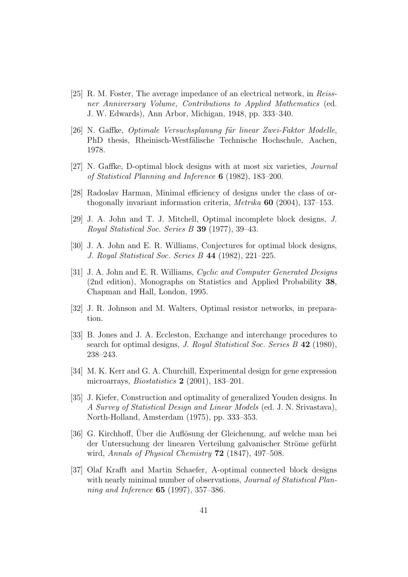- <span id="page-40-5"></span>[25] R. M. Foster, The average impedance of an electrical network, in Reissner Anniversary Volume, Contributions to Applied Mathematics (ed. J. W. Edwards), Ann Arbor, Michigan, 1948, pp. 333–340.
- <span id="page-40-3"></span>[26] N. Gaffke, *Optimale Versuchsplanung für linear Zwei-Faktor Modelle*, PhD thesis, Rheinisch-Westfälische Technische Hochschule, Aachen, 1978.
- <span id="page-40-4"></span><span id="page-40-0"></span>[27] N. Gaffke, D-optimal block designs with at most six varieties, Journal of Statistical Planning and Inference 6 (1982), 183–200.
- <span id="page-40-6"></span>[28] Radoslav Harman, Minimal efficiency of designs under the class of orthogonally invariant information criteria, Metrika 60 (2004), 137–153.
- <span id="page-40-8"></span>[29] J. A. John and T. J. Mitchell, Optimal incomplete block designs, J. Royal Statistical Soc. Series B 39 (1977), 39–43.
- <span id="page-40-12"></span>[30] J. A. John and E. R. Williams, Conjectures for optimal block designs, J. Royal Statistical Soc. Series B 44 (1982), 221–225.
- [31] J. A. John and E. R. Williams, Cyclic and Computer Generated Designs (2nd edition), Monographs on Statistics and Applied Probability 38, Chapman and Hall, London, 1995.
- <span id="page-40-10"></span><span id="page-40-7"></span>[32] J. R. Johnson and M. Walters, Optimal resistor networks, in preparation.
- [33] B. Jones and J. A. Eccleston, Exchange and interchange procedures to search for optimal designs, J. Royal Statistical Soc. Series B 42 (1980), 238–243.
- <span id="page-40-9"></span>[34] M. K. Kerr and G. A. Churchill, Experimental design for gene expression microarrays, *Biostatistics* **2** (2001), 183-201.
- <span id="page-40-1"></span>[35] J. Kiefer, Construction and optimality of generalized Youden designs. In A Survey of Statistical Design and Linear Models (ed. J. N. Srivastava), North-Holland, Amsterdam (1975), pp. 333–353.
- <span id="page-40-2"></span>[36] G. Kirchhoff, Über die Auflösung der Gleichenung, auf welche man bei der Untersuchung der linearen Verteilung galvanischer Ströme gefürht wird, Annals of Physical Chemistry **72** (1847), 497–508.
- <span id="page-40-11"></span>[37] Olaf Krafft and Martin Schaefer, A-optimal connected block designs with nearly minimal number of observations, *Journal of Statistical Plan*ning and Inference 65 (1997), 357–386.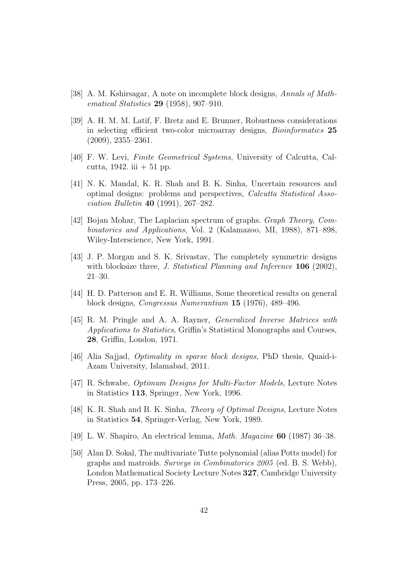- <span id="page-41-5"></span><span id="page-41-4"></span>[38] A. M. Kshirsagar, A note on incomplete block designs, Annals of Mathematical Statistics 29 (1958), 907–910.
- [39] A. H. M. M. Latif, F. Bretz and E. Brunner, Robustness considerations in selecting efficient two-color microarray designs, Bioinformatics 25 (2009), 2355–2361.
- <span id="page-41-8"></span><span id="page-41-0"></span>[40] F. W. Levi, Finite Geometrical Systems, University of Calcutta, Calcutta, 1942. iii  $+51$  pp.
- [41] N. K. Mandal, K. R. Shah and B. K. Sinha, Uncertain resources and optimal designs: problems and perspectives, Calcutta Statistical Association Bulletin 40 (1991), 267–282.
- <span id="page-41-10"></span>[42] Bojan Mohar, The Laplacian spectrum of graphs. Graph Theory, Combinatorics and Applications, Vol. 2 (Kalamazoo, MI, 1988), 871–898, Wiley-Interscience, New York, 1991.
- <span id="page-41-7"></span>[43] J. P. Morgan and S. K. Srivastav, The completely symmetric designs with blocksize three, *J. Statistical Planning and Inference* **106** (2002), 21–30.
- <span id="page-41-2"></span><span id="page-41-1"></span>[44] H. D. Patterson and E. R. Williams, Some theoretical results on general block designs, Congressus Numerantium 15 (1976), 489–496.
- [45] R. M. Pringle and A. A. Rayner, Generalized Inverse Matrices with Applications to Statistics, Griffin's Statistical Monographs and Courses, 28, Griffin, London, 1971.
- <span id="page-41-12"></span><span id="page-41-9"></span>[46] Alia Sajjad, Optimality in sparse block designs, PhD thesis, Quaid-i-Azam University, Islamabad, 2011.
- <span id="page-41-3"></span>[47] R. Schwabe, Optimum Designs for Multi-Factor Models, Lecture Notes in Statistics 113, Springer, New York, 1996.
- <span id="page-41-6"></span>[48] K. R. Shah and B. K. Sinha, Theory of Optimal Designs, Lecture Notes in Statistics 54, Springer-Verlag, New York, 1989.
- <span id="page-41-11"></span>[49] L. W. Shapiro, An electrical lemma, Math. Magazine 60 (1987) 36–38.
- [50] Alan D. Sokal, The multivariate Tutte polynomial (alias Potts model) for graphs and matroids. Surveys in Combinatorics 2005 (ed. B. S. Webb), London Mathematical Society Lecture Notes 327, Cambridge University Press, 2005, pp. 173–226.